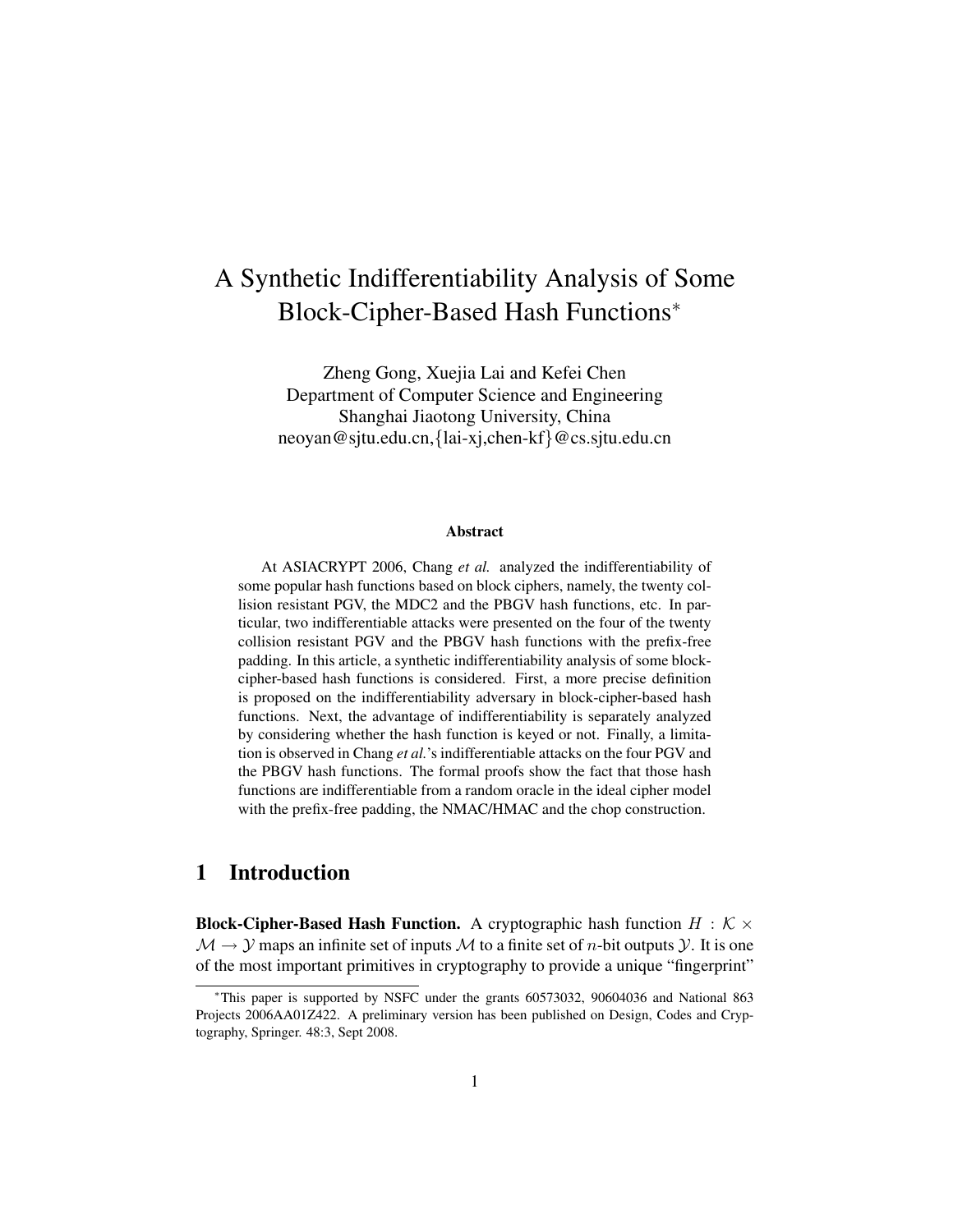# A Synthetic Indifferentiability Analysis of Some Block-Cipher-Based Hash Functions<sup>∗</sup>

Zheng Gong, Xuejia Lai and Kefei Chen Department of Computer Science and Engineering Shanghai Jiaotong University, China neoyan@sjtu.edu.cn,{lai-xj,chen-kf}@cs.sjtu.edu.cn

#### Abstract

At ASIACRYPT 2006, Chang *et al.* analyzed the indifferentiability of some popular hash functions based on block ciphers, namely, the twenty collision resistant PGV, the MDC2 and the PBGV hash functions, etc. In particular, two indifferentiable attacks were presented on the four of the twenty collision resistant PGV and the PBGV hash functions with the prefix-free padding. In this article, a synthetic indifferentiability analysis of some blockcipher-based hash functions is considered. First, a more precise definition is proposed on the indifferentiability adversary in block-cipher-based hash functions. Next, the advantage of indifferentiability is separately analyzed by considering whether the hash function is keyed or not. Finally, a limitation is observed in Chang *et al.*'s indifferentiable attacks on the four PGV and the PBGV hash functions. The formal proofs show the fact that those hash functions are indifferentiable from a random oracle in the ideal cipher model with the prefix-free padding, the NMAC/HMAC and the chop construction.

## 1 Introduction

**Block-Cipher-Based Hash Function.** A cryptographic hash function  $H : \mathcal{K} \times$  $\mathcal{M} \to \mathcal{Y}$  maps an infinite set of inputs  $\mathcal M$  to a finite set of *n*-bit outputs  $\mathcal{Y}$ . It is one of the most important primitives in cryptography to provide a unique "fingerprint"

<sup>∗</sup>This paper is supported by NSFC under the grants 60573032, 90604036 and National 863 Projects 2006AA01Z422. A preliminary version has been published on Design, Codes and Cryptography, Springer. 48:3, Sept 2008.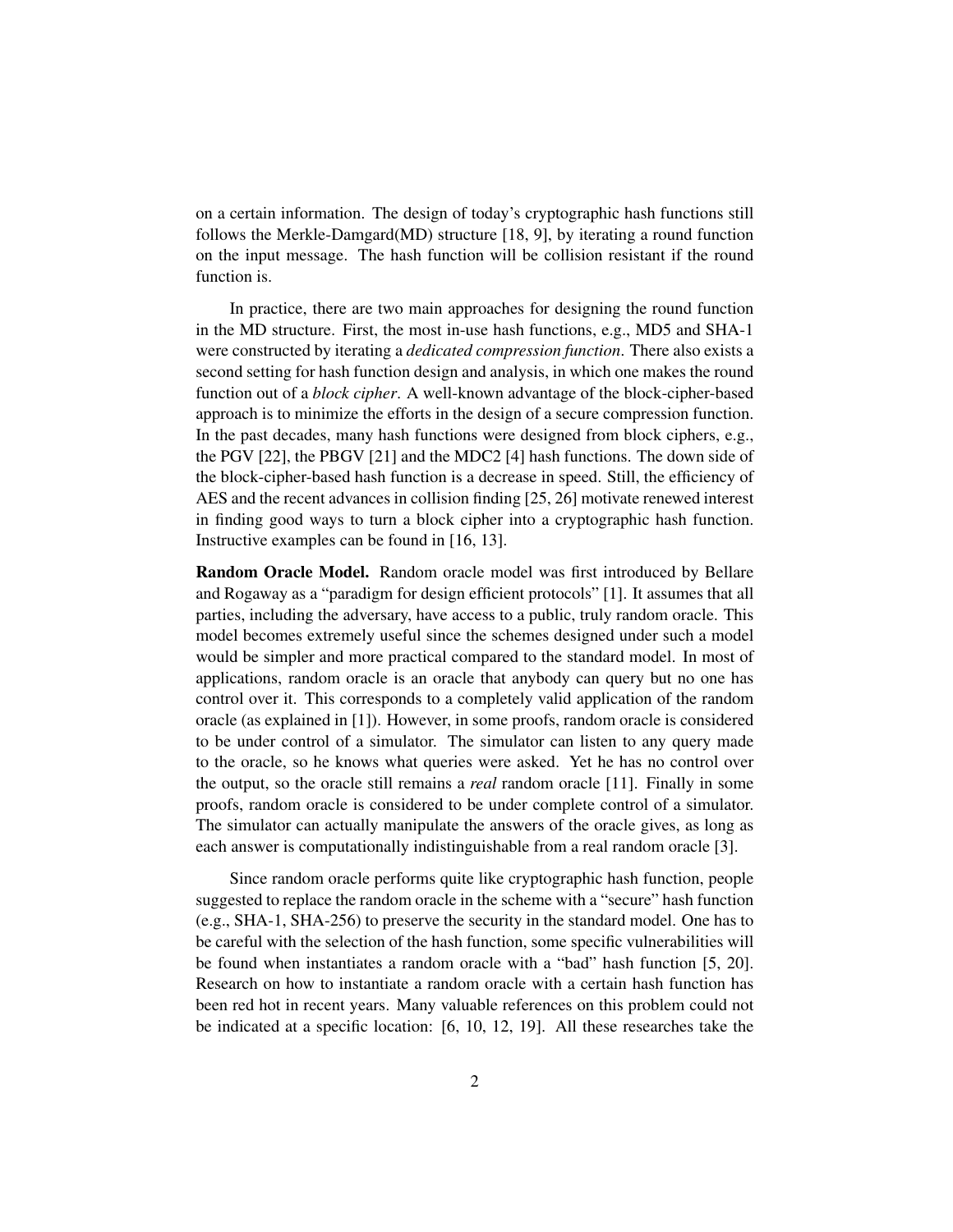on a certain information. The design of today's cryptographic hash functions still follows the Merkle-Damgard(MD) structure [18, 9], by iterating a round function on the input message. The hash function will be collision resistant if the round function is.

In practice, there are two main approaches for designing the round function in the MD structure. First, the most in-use hash functions, e.g., MD5 and SHA-1 were constructed by iterating a *dedicated compression function*. There also exists a second setting for hash function design and analysis, in which one makes the round function out of a *block cipher*. A well-known advantage of the block-cipher-based approach is to minimize the efforts in the design of a secure compression function. In the past decades, many hash functions were designed from block ciphers, e.g., the PGV [22], the PBGV [21] and the MDC2 [4] hash functions. The down side of the block-cipher-based hash function is a decrease in speed. Still, the efficiency of AES and the recent advances in collision finding [25, 26] motivate renewed interest in finding good ways to turn a block cipher into a cryptographic hash function. Instructive examples can be found in [16, 13].

Random Oracle Model. Random oracle model was first introduced by Bellare and Rogaway as a "paradigm for design efficient protocols" [1]. It assumes that all parties, including the adversary, have access to a public, truly random oracle. This model becomes extremely useful since the schemes designed under such a model would be simpler and more practical compared to the standard model. In most of applications, random oracle is an oracle that anybody can query but no one has control over it. This corresponds to a completely valid application of the random oracle (as explained in [1]). However, in some proofs, random oracle is considered to be under control of a simulator. The simulator can listen to any query made to the oracle, so he knows what queries were asked. Yet he has no control over the output, so the oracle still remains a *real* random oracle [11]. Finally in some proofs, random oracle is considered to be under complete control of a simulator. The simulator can actually manipulate the answers of the oracle gives, as long as each answer is computationally indistinguishable from a real random oracle [3].

Since random oracle performs quite like cryptographic hash function, people suggested to replace the random oracle in the scheme with a "secure" hash function (e.g., SHA-1, SHA-256) to preserve the security in the standard model. One has to be careful with the selection of the hash function, some specific vulnerabilities will be found when instantiates a random oracle with a "bad" hash function [5, 20]. Research on how to instantiate a random oracle with a certain hash function has been red hot in recent years. Many valuable references on this problem could not be indicated at a specific location: [6, 10, 12, 19]. All these researches take the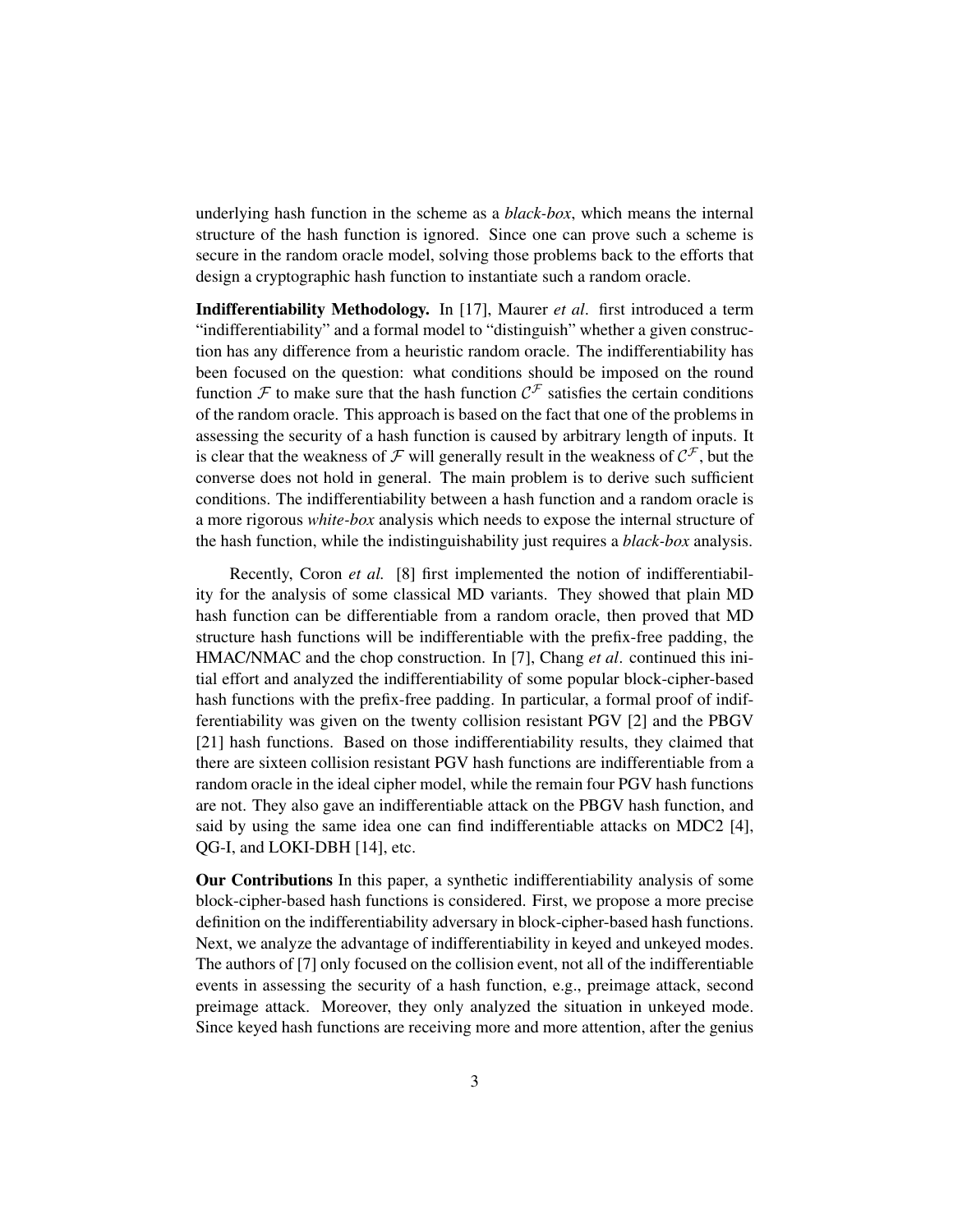underlying hash function in the scheme as a *black-box*, which means the internal structure of the hash function is ignored. Since one can prove such a scheme is secure in the random oracle model, solving those problems back to the efforts that design a cryptographic hash function to instantiate such a random oracle.

Indifferentiability Methodology. In [17], Maurer *et al*. first introduced a term "indifferentiability" and a formal model to "distinguish" whether a given construction has any difference from a heuristic random oracle. The indifferentiability has been focused on the question: what conditions should be imposed on the round function  $\mathcal F$  to make sure that the hash function  $\mathcal C^{\mathcal F}$  satisfies the certain conditions of the random oracle. This approach is based on the fact that one of the problems in assessing the security of a hash function is caused by arbitrary length of inputs. It is clear that the weakness of F will generally result in the weakness of  $C^{\mathcal{F}}$ , but the converse does not hold in general. The main problem is to derive such sufficient conditions. The indifferentiability between a hash function and a random oracle is a more rigorous *white-box* analysis which needs to expose the internal structure of the hash function, while the indistinguishability just requires a *black-box* analysis.

Recently, Coron *et al.* [8] first implemented the notion of indifferentiability for the analysis of some classical MD variants. They showed that plain MD hash function can be differentiable from a random oracle, then proved that MD structure hash functions will be indifferentiable with the prefix-free padding, the HMAC/NMAC and the chop construction. In [7], Chang *et al*. continued this initial effort and analyzed the indifferentiability of some popular block-cipher-based hash functions with the prefix-free padding. In particular, a formal proof of indifferentiability was given on the twenty collision resistant PGV [2] and the PBGV [21] hash functions. Based on those indifferentiability results, they claimed that there are sixteen collision resistant PGV hash functions are indifferentiable from a random oracle in the ideal cipher model, while the remain four PGV hash functions are not. They also gave an indifferentiable attack on the PBGV hash function, and said by using the same idea one can find indifferentiable attacks on MDC2 [4], QG-I, and LOKI-DBH [14], etc.

Our Contributions In this paper, a synthetic indifferentiability analysis of some block-cipher-based hash functions is considered. First, we propose a more precise definition on the indifferentiability adversary in block-cipher-based hash functions. Next, we analyze the advantage of indifferentiability in keyed and unkeyed modes. The authors of [7] only focused on the collision event, not all of the indifferentiable events in assessing the security of a hash function, e.g., preimage attack, second preimage attack. Moreover, they only analyzed the situation in unkeyed mode. Since keyed hash functions are receiving more and more attention, after the genius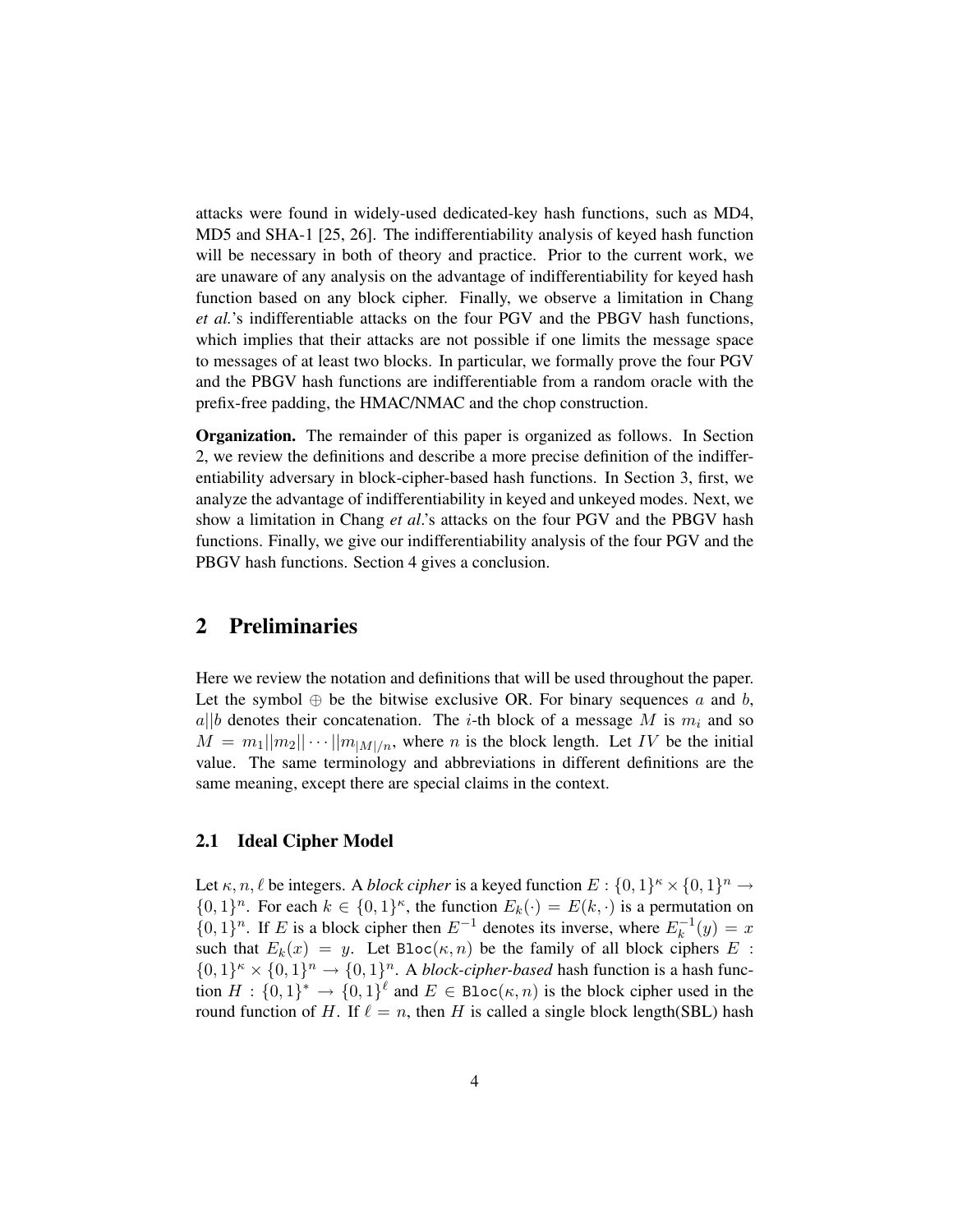attacks were found in widely-used dedicated-key hash functions, such as MD4, MD5 and SHA-1 [25, 26]. The indifferentiability analysis of keyed hash function will be necessary in both of theory and practice. Prior to the current work, we are unaware of any analysis on the advantage of indifferentiability for keyed hash function based on any block cipher. Finally, we observe a limitation in Chang *et al.*'s indifferentiable attacks on the four PGV and the PBGV hash functions, which implies that their attacks are not possible if one limits the message space to messages of at least two blocks. In particular, we formally prove the four PGV and the PBGV hash functions are indifferentiable from a random oracle with the prefix-free padding, the HMAC/NMAC and the chop construction.

Organization. The remainder of this paper is organized as follows. In Section 2, we review the definitions and describe a more precise definition of the indifferentiability adversary in block-cipher-based hash functions. In Section 3, first, we analyze the advantage of indifferentiability in keyed and unkeyed modes. Next, we show a limitation in Chang *et al*.'s attacks on the four PGV and the PBGV hash functions. Finally, we give our indifferentiability analysis of the four PGV and the PBGV hash functions. Section 4 gives a conclusion.

## 2 Preliminaries

Here we review the notation and definitions that will be used throughout the paper. Let the symbol  $\oplus$  be the bitwise exclusive OR. For binary sequences a and b,  $a||b$  denotes their concatenation. The *i*-th block of a message M is  $m_i$  and so  $M = m_1 ||m_2|| \cdots ||m_{|M|/n}$ , where n is the block length. Let IV be the initial value. The same terminology and abbreviations in different definitions are the same meaning, except there are special claims in the context.

#### 2.1 Ideal Cipher Model

Let  $\kappa$ ,  $n, \ell$  be integers. A *block cipher* is a keyed function  $E : \{0,1\}^{\kappa} \times \{0,1\}^n \to$  $\{0,1\}^n$ . For each  $k \in \{0,1\}^{\kappa}$ , the function  $E_k(\cdot) = E(k, \cdot)$  is a permutation on  $\{0,1\}^n$ . If E is a block cipher then  $E^{-1}$  denotes its inverse, where  $E_k^{-1}$  $k^{-1}(y) = x$ such that  $E_k(x) = y$ . Let Bloc $(\kappa, n)$  be the family of all block ciphers E:  $\{0,1\}^n \times \{0,1\}^n \rightarrow \{0,1\}^n$ . A *block-cipher-based* hash function is a hash function  $H: \{0,1\}^* \to \{0,1\}^{\ell}$  and  $E \in \text{Bloc}(\kappa,n)$  is the block cipher used in the round function of H. If  $\ell = n$ , then H is called a single block length(SBL) hash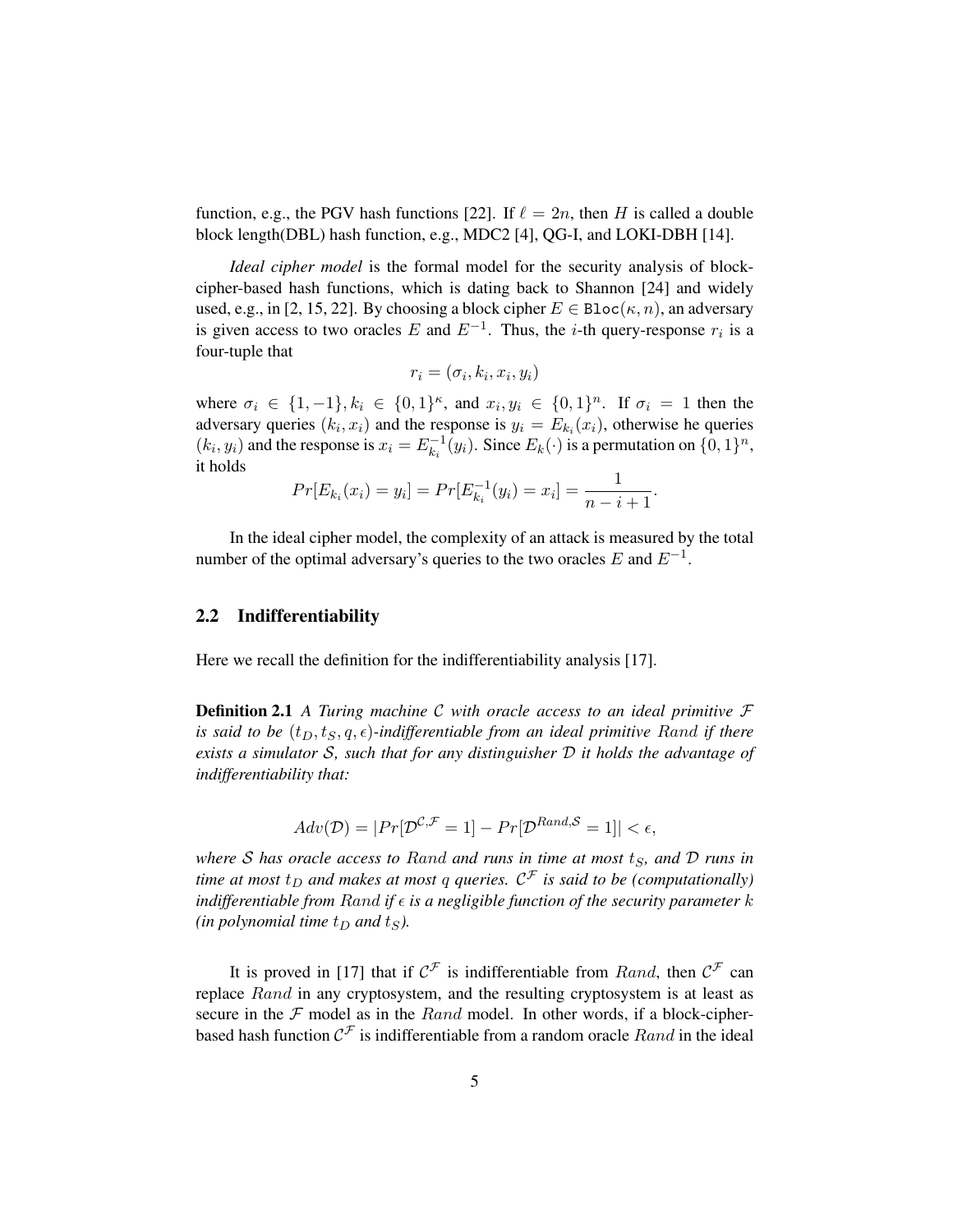function, e.g., the PGV hash functions [22]. If  $\ell = 2n$ , then H is called a double block length(DBL) hash function, e.g., MDC2 [4], QG-I, and LOKI-DBH [14].

*Ideal cipher model* is the formal model for the security analysis of blockcipher-based hash functions, which is dating back to Shannon [24] and widely used, e.g., in [2, 15, 22]. By choosing a block cipher  $E \in \text{Bloc}(\kappa, n)$ , an adversary is given access to two oracles E and  $E^{-1}$ . Thus, the *i*-th query-response  $r_i$  is a four-tuple that

$$
r_i = (\sigma_i, k_i, x_i, y_i)
$$

where  $\sigma_i \in \{1, -1\}, k_i \in \{0, 1\}^{\kappa}$ , and  $x_i, y_i \in \{0, 1\}^n$ . If  $\sigma_i = 1$  then the adversary queries  $(k_i, x_i)$  and the response is  $y_i = E_{k_i}(x_i)$ , otherwise he queries  $(k_i, y_i)$  and the response is  $x_i = E_{ki}^{-1}$  $k_k^{-1}(y_i)$ . Since  $E_k(\cdot)$  is a permutation on  $\{0,1\}^n$ , it holds

$$
Pr[E_{k_i}(x_i) = y_i] = Pr[E_{k_i}^{-1}(y_i) = x_i] = \frac{1}{n - i + 1}.
$$

In the ideal cipher model, the complexity of an attack is measured by the total number of the optimal adversary's queries to the two oracles E and  $E^{-1}$ .

#### 2.2 Indifferentiability

Here we recall the definition for the indifferentiability analysis [17].

Definition 2.1 *A Turing machine* C *with oracle access to an ideal primitive* F *is said to be*  $(t_D, t_S, q, \epsilon)$ *-indifferentiable from an ideal primitive Rand if there exists a simulator* S*, such that for any distinguisher* D *it holds the advantage of indifferentiability that:*

$$
Adv(\mathcal{D}) = |Pr[\mathcal{D}^{\mathcal{C}, \mathcal{F}} = 1] - Pr[\mathcal{D}^{Rand, \mathcal{S}} = 1]| < \epsilon,
$$

*where* S has oracle access to Rand and runs in time at most  $t_s$ , and D runs in time at most  $t_D$  and makes at most  $q$  queries.  $\mathcal{C}^{\mathcal{F}}$  is said to be (computationally) *indifferentiable from Rand if*  $\epsilon$  *is a negligible function of the security parameter*  $k$ *(in polynomial time*  $t_D$  *and*  $t_S$ *).* 

It is proved in [17] that if  $\mathcal{C}^{\mathcal{F}}$  is indifferentiable from *Rand*, then  $\mathcal{C}^{\mathcal{F}}$  can replace Rand in any cryptosystem, and the resulting cryptosystem is at least as secure in the  $F$  model as in the  $Rand$  model. In other words, if a block-cipherbased hash function  $\mathcal{C}^{\mathcal{F}}$  is indifferentiable from a random oracle  $Rand$  in the ideal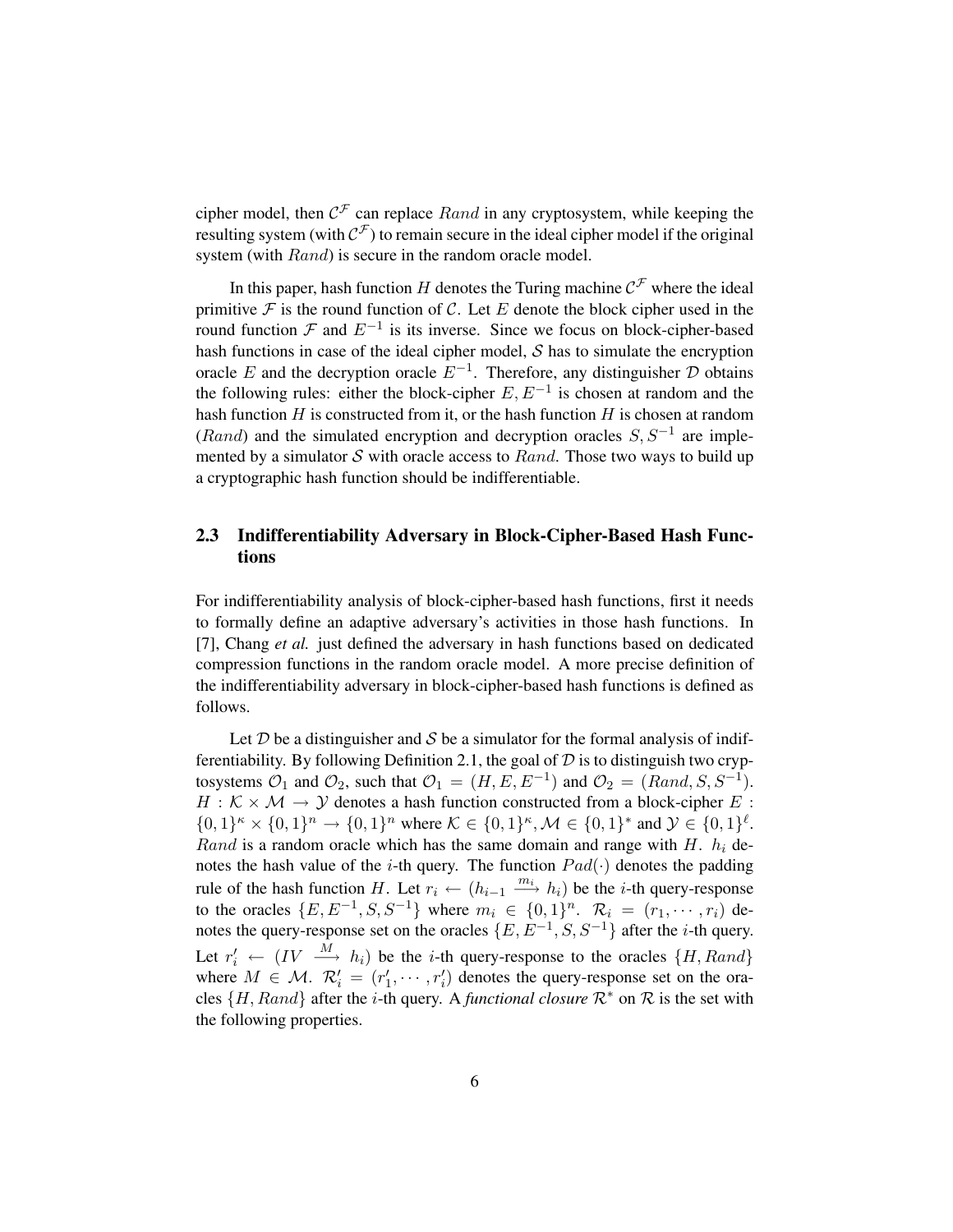cipher model, then  $C^{\mathcal{F}}$  can replace  $Rand$  in any cryptosystem, while keeping the resulting system (with  $\mathcal{C}^{\mathcal{F}}$ ) to remain secure in the ideal cipher model if the original system (with Rand) is secure in the random oracle model.

In this paper, hash function H denotes the Turing machine  $\mathcal{C}^{\mathcal{F}}$  where the ideal primitive  $\mathcal F$  is the round function of  $\mathcal C$ . Let  $E$  denote the block cipher used in the round function  $\mathcal F$  and  $E^{-1}$  is its inverse. Since we focus on block-cipher-based hash functions in case of the ideal cipher model,  $S$  has to simulate the encryption oracle E and the decryption oracle  $E^{-1}$ . Therefore, any distinguisher D obtains the following rules: either the block-cipher  $E, E^{-1}$  is chosen at random and the hash function  $H$  is constructed from it, or the hash function  $H$  is chosen at random (Rand) and the simulated encryption and decryption oracles  $S, S^{-1}$  are implemented by a simulator S with oracle access to  $Rand$ . Those two ways to build up a cryptographic hash function should be indifferentiable.

### 2.3 Indifferentiability Adversary in Block-Cipher-Based Hash Functions

For indifferentiability analysis of block-cipher-based hash functions, first it needs to formally define an adaptive adversary's activities in those hash functions. In [7], Chang *et al.* just defined the adversary in hash functions based on dedicated compression functions in the random oracle model. A more precise definition of the indifferentiability adversary in block-cipher-based hash functions is defined as follows.

Let  $D$  be a distinguisher and  $S$  be a simulator for the formal analysis of indifferentiability. By following Definition 2.1, the goal of  $D$  is to distinguish two cryptosystems  $\mathcal{O}_1$  and  $\mathcal{O}_2$ , such that  $\mathcal{O}_1 = (H, E, E^{-1})$  and  $\mathcal{O}_2 = (Rand, S, S^{-1})$ .  $H : \mathcal{K} \times \mathcal{M} \rightarrow \mathcal{Y}$  denotes a hash function constructed from a block-cipher E:  $\{0,1\}^{\kappa} \times \{0,1\}^n \to \{0,1\}^n$  where  $\mathcal{K} \in \{0,1\}^{\kappa}$ ,  $\mathcal{M} \in \{0,1\}^*$  and  $\mathcal{Y} \in \{0,1\}^{\ell}$ . Rand is a random oracle which has the same domain and range with  $H$ .  $h_i$  denotes the hash value of the *i*-th query. The function  $Pad(\cdot)$  denotes the padding rule of the hash function H. Let  $r_i \leftarrow (h_{i-1} \xrightarrow{m_i} h_i)$  be the *i*-th query-response to the oracles  $\{E, E^{-1}, S, S^{-1}\}$  where  $m_i \in \{0, 1\}^n$ .  $\mathcal{R}_i = (r_1, \dots, r_i)$  denotes the query-response set on the oracles  $\{E, E^{-1}, S, S^{-1}\}$  after the *i*-th query. Let  $r'_i \leftarrow (IV \stackrel{M}{\longrightarrow} h_i)$  be the *i*-th query-response to the oracles  $\{H, Rand\}$ where  $M \in \mathcal{M}$ .  $\mathcal{R}'_i = (r'_1, \cdots, r'_i)$  denotes the query-response set on the oracles  $\{H, Rand\}$  after the *i*-th query. A *functional closure*  $\mathcal{R}^*$  on  $\mathcal{R}$  is the set with the following properties.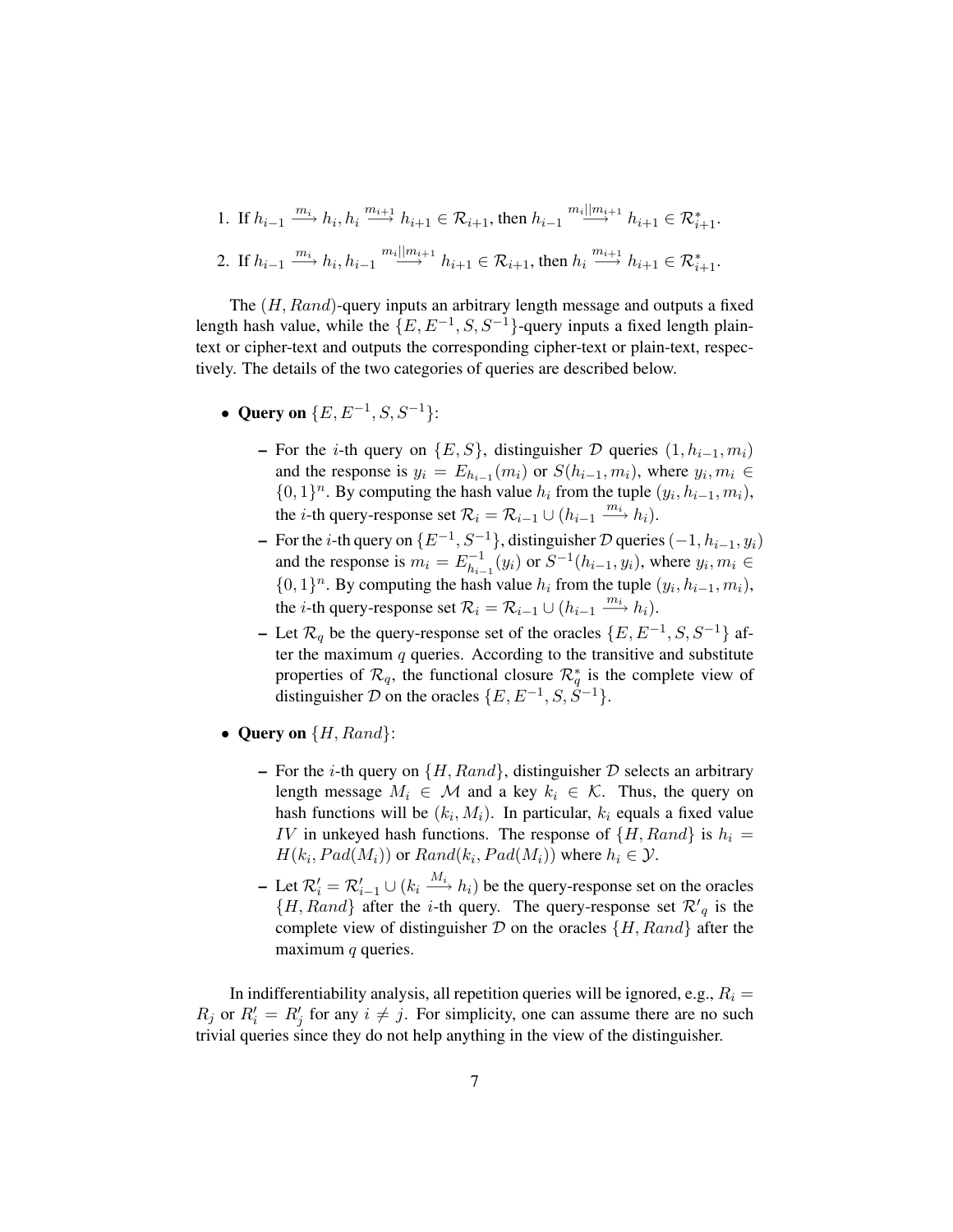1. If 
$$
h_{i-1} \xrightarrow{m_i} h_i, h_i \xrightarrow{m_{i+1}} h_{i+1} \in \mathcal{R}_{i+1}
$$
, then  $h_{i-1} \xrightarrow{m_i || m_{i+1}} h_{i+1} \in \mathcal{R}_{i+1}^*$ .

2. If 
$$
h_{i-1} \xrightarrow{m_i} h_i, h_{i-1} \xrightarrow{m_i || m_{i+1}} h_{i+1} \in \mathcal{R}_{i+1}
$$
, then  $h_i \xrightarrow{m_{i+1}} h_{i+1} \in \mathcal{R}_{i+1}^*$ .

The (H, Rand)-query inputs an arbitrary length message and outputs a fixed length hash value, while the  ${E, E^{-1}, S, S^{-1}}$ -query inputs a fixed length plaintext or cipher-text and outputs the corresponding cipher-text or plain-text, respectively. The details of the two categories of queries are described below.

- Query on  $\{E, E^{-1}, S, S^{-1}\}$ :
	- For the *i*-th query on  $\{E, S\}$ , distinguisher D queries  $(1, h_{i-1}, m_i)$ and the response is  $y_i = E_{h_{i-1}}(m_i)$  or  $S(h_{i-1}, m_i)$ , where  $y_i, m_i \in$  $\{0,1\}^n$ . By computing the hash value  $h_i$  from the tuple  $(y_i, h_{i-1}, m_i)$ , the *i*-th query-response set  $\mathcal{R}_i = \mathcal{R}_{i-1} \cup (h_{i-1} \xrightarrow{m_i} h_i)$ .
	- − For the *i*-th query on  $\{E^{-1}, S^{-1}\}$ , distinguisher  $D$  queries  $(-1, h_{i-1}, y_i)$ and the response is  $m_i = E_{h_i}^{-1}$  $\sum_{h_{i-1}}^{j-1}(y_i)$  or  $S^{-1}(h_{i-1}, y_i)$ , where  $y_i, m_i \in$  $\{0,1\}^n$ . By computing the hash value  $h_i$  from the tuple  $(y_i, h_{i-1}, m_i)$ , the *i*-th query-response set  $\mathcal{R}_i = \mathcal{R}_{i-1} \cup (h_{i-1} \xrightarrow{m_i} h_i)$ .
	- Let  $\mathcal{R}_q$  be the query-response set of the oracles  $\{E, E^{-1}, S, S^{-1}\}$  after the maximum  $q$  queries. According to the transitive and substitute properties of  $\mathcal{R}_q$ , the functional closure  $\mathcal{R}_q^*$  is the complete view of distinguisher D on the oracles  $\{E, E^{-1}, S, S^{-1}\}.$
- Query on  $\{H, Rand\}$ :
	- For the *i*-th query on  $\{H, Rand\}$ , distinguisher  $D$  selects an arbitrary length message  $M_i \in \mathcal{M}$  and a key  $k_i \in \mathcal{K}$ . Thus, the query on hash functions will be  $(k_i, M_i)$ . In particular,  $k_i$  equals a fixed value IV in unkeyed hash functions. The response of  $\{H, Rand\}$  is  $h_i =$  $H(k_i, Pad(M_i))$  or  $Rand(k_i, Pad(M_i))$  where  $h_i \in \mathcal{Y}$ .
	- − Let  $\mathcal{R}'_i = \mathcal{R}'_{i-1} \cup (k_i \stackrel{M_i}{\longrightarrow} h_i)$  be the query-response set on the oracles  $\{H, Rand\}$  after the *i*-th query. The query-response set  $\mathcal{R}'_q$  is the complete view of distinguisher  $D$  on the oracles  $\{H, Rand\}$  after the maximum  $q$  queries.

In indifferentiability analysis, all repetition queries will be ignored, e.g.,  $R_i =$  $R_j$  or  $R'_i = R'_j$  for any  $i \neq j$ . For simplicity, one can assume there are no such trivial queries since they do not help anything in the view of the distinguisher.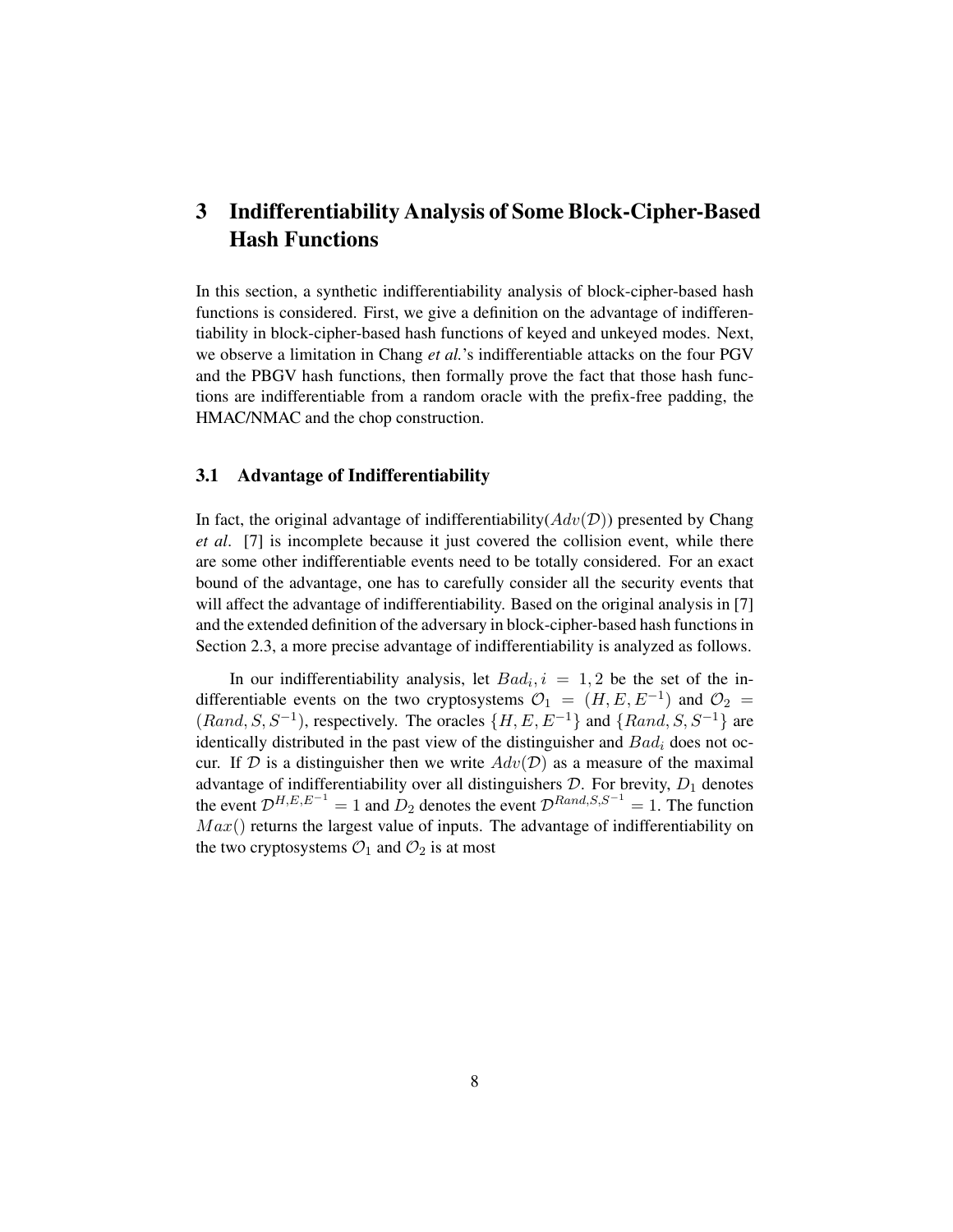## 3 Indifferentiability Analysis of Some Block-Cipher-Based Hash Functions

In this section, a synthetic indifferentiability analysis of block-cipher-based hash functions is considered. First, we give a definition on the advantage of indifferentiability in block-cipher-based hash functions of keyed and unkeyed modes. Next, we observe a limitation in Chang *et al.*'s indifferentiable attacks on the four PGV and the PBGV hash functions, then formally prove the fact that those hash functions are indifferentiable from a random oracle with the prefix-free padding, the HMAC/NMAC and the chop construction.

#### 3.1 Advantage of Indifferentiability

In fact, the original advantage of indifferentiability( $Adv(\mathcal{D})$ ) presented by Chang *et al*. [7] is incomplete because it just covered the collision event, while there are some other indifferentiable events need to be totally considered. For an exact bound of the advantage, one has to carefully consider all the security events that will affect the advantage of indifferentiability. Based on the original analysis in [7] and the extended definition of the adversary in block-cipher-based hash functions in Section 2.3, a more precise advantage of indifferentiability is analyzed as follows.

In our indifferentiability analysis, let  $Bad_i$ ,  $i = 1, 2$  be the set of the indifferentiable events on the two cryptosystems  $\mathcal{O}_1 = (H, E, E^{-1})$  and  $\mathcal{O}_2 =$  $(Rand, S, S^{-1})$ , respectively. The oracles  $\{H, E, E^{-1}\}\$  and  $\{Rand, S, S^{-1}\}\$  are identically distributed in the past view of the distinguisher and  $Bad<sub>i</sub>$  does not occur. If D is a distinguisher then we write  $Adv(\mathcal{D})$  as a measure of the maximal advantage of indifferentiability over all distinguishers  $D$ . For brevity,  $D_1$  denotes the event  $\mathcal{D}^{H,E,E^{-1}} = 1$  and  $D_2$  denotes the event  $\mathcal{D}^{Rand,S,S^{-1}} = 1$ . The function  $Max()$  returns the largest value of inputs. The advantage of indifferentiability on the two cryptosystems  $\mathcal{O}_1$  and  $\mathcal{O}_2$  is at most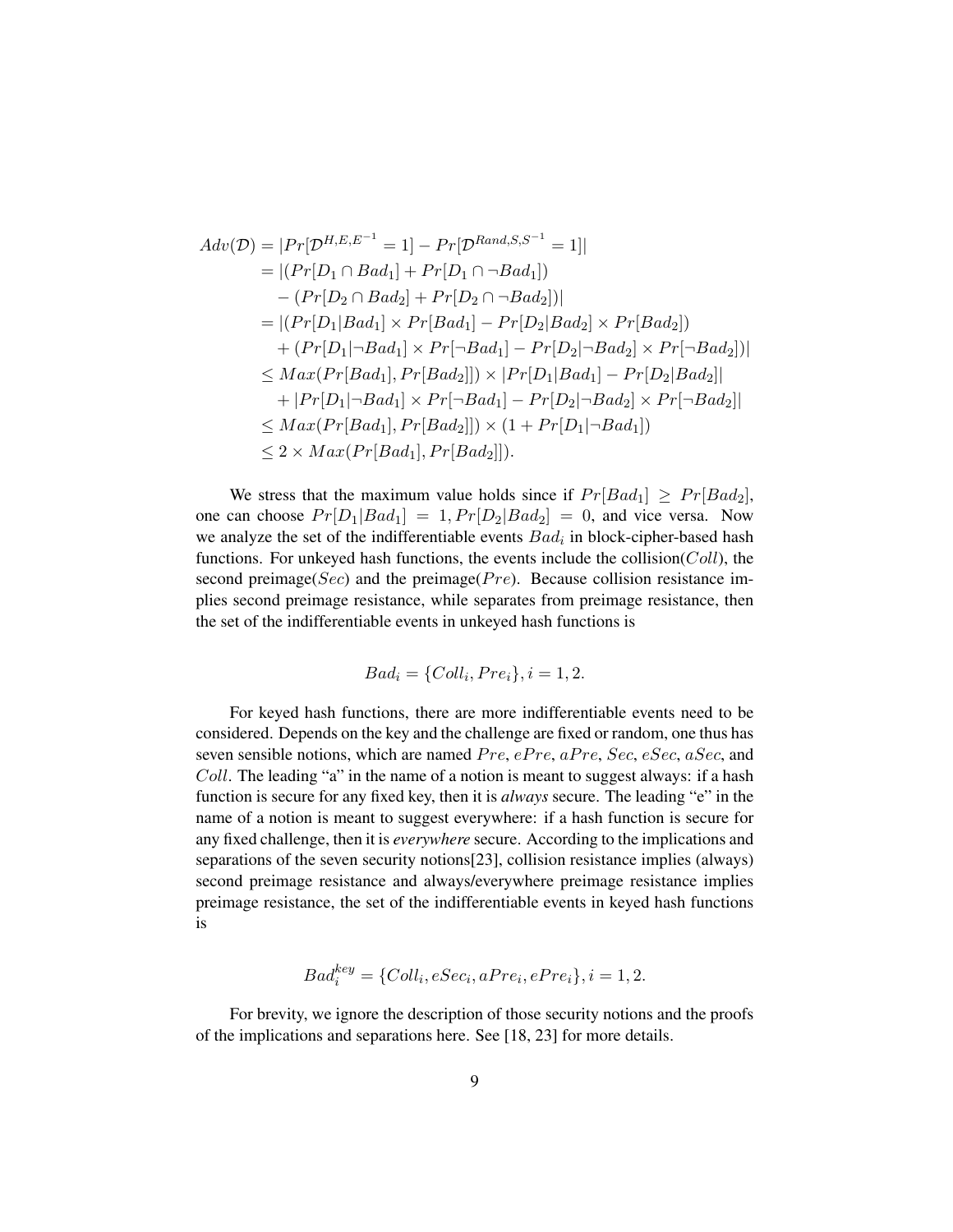$$
Adv(\mathcal{D}) = |Pr[\mathcal{D}^{H,E,E^{-1}} = 1] - Pr[\mathcal{D}^{Rand,S,S^{-1}} = 1]|
$$
  
\n
$$
= |(Pr[D_1 \cap Bad_1] + Pr[D_1 \cap \neg Bad_1])|
$$
  
\n
$$
- (Pr[D_2 \cap Bad_2] + Pr[D_2 \cap \neg Bad_2])|
$$
  
\n
$$
= |(Pr[D_1|Bad_1] \times Pr[Bad_1] - Pr[D_2|Bad_2] \times Pr[Bad_2])|
$$
  
\n
$$
+ (Pr[D_1|\neg Bad_1] \times Pr[\neg Bad_1] - Pr[D_2|\neg Bad_2] \times Pr[\neg Bad_2])|
$$
  
\n
$$
\leq Max(Pr[Bad_1], Pr[Bad_2]]) \times |Pr[D_1|Bad_1] - Pr[D_2|Bad_2]|
$$
  
\n
$$
+ |Pr[D_1|\neg Bad_1] \times Pr[\neg Bad_1] - Pr[D_2|\neg Bad_2] \times Pr[\neg Bad_2]|
$$
  
\n
$$
\leq Max(Pr[Bad_1], Pr[Bad_2]]) \times (1 + Pr[D_1|\neg Bad_1])
$$
  
\n
$$
\leq 2 \times Max(Pr[Bad_1], Pr[Bad_2]]).
$$

We stress that the maximum value holds since if  $Pr[Bad_1] \geq Pr[Bad_2]$ , one can choose  $Pr[D_1|Bad_1] = 1, Pr[D_2|Bad_2] = 0$ , and vice versa. Now we analyze the set of the indifferentiable events  $Bad<sub>i</sub>$  in block-cipher-based hash functions. For unkeyed hash functions, the events include the collision( $Coll$ ), the second preimage(Sec) and the preimage(P $re$ ). Because collision resistance implies second preimage resistance, while separates from preimage resistance, then the set of the indifferentiable events in unkeyed hash functions is

$$
Bad_i = \{Coll_i, Pre_i\}, i = 1, 2.
$$

For keyed hash functions, there are more indifferentiable events need to be considered. Depends on the key and the challenge are fixed or random, one thus has seven sensible notions, which are named  $Pre, ePre, aPre, Sec, eSec, aSec, and$ Coll. The leading "a" in the name of a notion is meant to suggest always: if a hash function is secure for any fixed key, then it is *always* secure. The leading "e" in the name of a notion is meant to suggest everywhere: if a hash function is secure for any fixed challenge, then it is *everywhere* secure. According to the implications and separations of the seven security notions[23], collision resistance implies (always) second preimage resistance and always/everywhere preimage resistance implies preimage resistance, the set of the indifferentiable events in keyed hash functions is

$$
Bad_i^{key} = \{Coll_i, eSec_i, aPre_i, ePre_i\}, i = 1, 2.
$$

For brevity, we ignore the description of those security notions and the proofs of the implications and separations here. See [18, 23] for more details.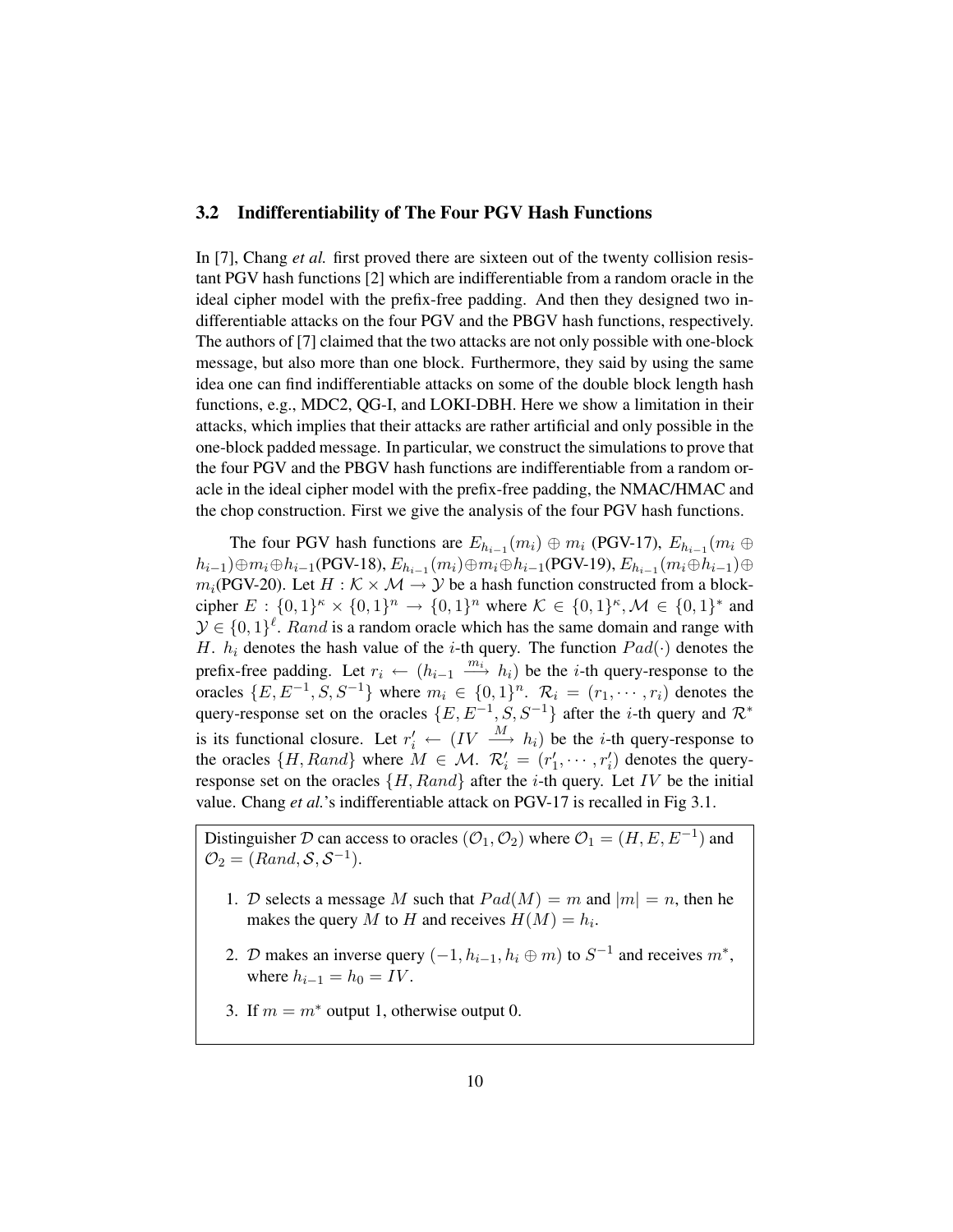#### 3.2 Indifferentiability of The Four PGV Hash Functions

In [7], Chang *et al.* first proved there are sixteen out of the twenty collision resistant PGV hash functions [2] which are indifferentiable from a random oracle in the ideal cipher model with the prefix-free padding. And then they designed two indifferentiable attacks on the four PGV and the PBGV hash functions, respectively. The authors of [7] claimed that the two attacks are not only possible with one-block message, but also more than one block. Furthermore, they said by using the same idea one can find indifferentiable attacks on some of the double block length hash functions, e.g., MDC2, QG-I, and LOKI-DBH. Here we show a limitation in their attacks, which implies that their attacks are rather artificial and only possible in the one-block padded message. In particular, we construct the simulations to prove that the four PGV and the PBGV hash functions are indifferentiable from a random oracle in the ideal cipher model with the prefix-free padding, the NMAC/HMAC and the chop construction. First we give the analysis of the four PGV hash functions.

The four PGV hash functions are  $E_{h_{i-1}}(m_i) \oplus m_i$  (PGV-17),  $E_{h_{i-1}}(m_i \oplus$  $(h_{i-1})\oplus m_i\oplus h_{i-1}$ (PGV-18),  $E_{h_{i-1}}(m_i)\oplus m_i\oplus h_{i-1}$ (PGV-19),  $E_{h_{i-1}}(m_i\oplus h_{i-1})\oplus$  $m_i(PGV-20)$ . Let  $H : \mathcal{K} \times \mathcal{M} \rightarrow \mathcal{Y}$  be a hash function constructed from a blockcipher  $E: \{0,1\}^k \times \{0,1\}^n \to \{0,1\}^n$  where  $\mathcal{K} \in \{0,1\}^k, \mathcal{M} \in \{0,1\}^*$  and  $\mathcal{Y} \in \{0,1\}^{\ell}$ . Rand is a random oracle which has the same domain and range with H.  $h_i$  denotes the hash value of the *i*-th query. The function  $Pad(\cdot)$  denotes the prefix-free padding. Let  $r_i \leftarrow (h_{i-1} \stackrel{m_i}{\longrightarrow} h_i)$  be the *i*-th query-response to the oracles  $\{E, E^{-1}, S, S^{-1}\}$  where  $m_i \in \{0, 1\}^n$ .  $\mathcal{R}_i = (r_1, \dots, r_i)$  denotes the query-response set on the oracles  $\{E, E^{-1}, S, S^{-1}\}\$  after the *i*-th query and  $\mathcal{R}^*$ is its functional closure. Let  $r'_i \leftarrow (IV \stackrel{M}{\longrightarrow} h_i)$  be the *i*-th query-response to the oracles  $\{H, Rand\}$  where  $M \in \mathcal{M}$ .  $\mathcal{R}'_i = (r'_1, \dots, r'_i)$  denotes the queryresponse set on the oracles  $\{H, Rand\}$  after the *i*-th query. Let IV be the initial value. Chang *et al.*'s indifferentiable attack on PGV-17 is recalled in Fig 3.1.

Distinguisher D can access to oracles  $(\mathcal{O}_1, \mathcal{O}_2)$  where  $\mathcal{O}_1 = (H, E, E^{-1})$  and  $\mathcal{O}_2 = (Rand, \mathcal{S}, \mathcal{S}^{-1}).$ 

- 1. D selects a message M such that  $Pad(M) = m$  and  $|m| = n$ , then he makes the query M to H and receives  $H(M) = h_i$ .
- 2. D makes an inverse query  $(-1, h_{i-1}, h_i \oplus m)$  to  $S^{-1}$  and receives  $m^*$ , where  $h_{i-1} = h_0 = IV$ .
- 3. If  $m = m^*$  output 1, otherwise output 0.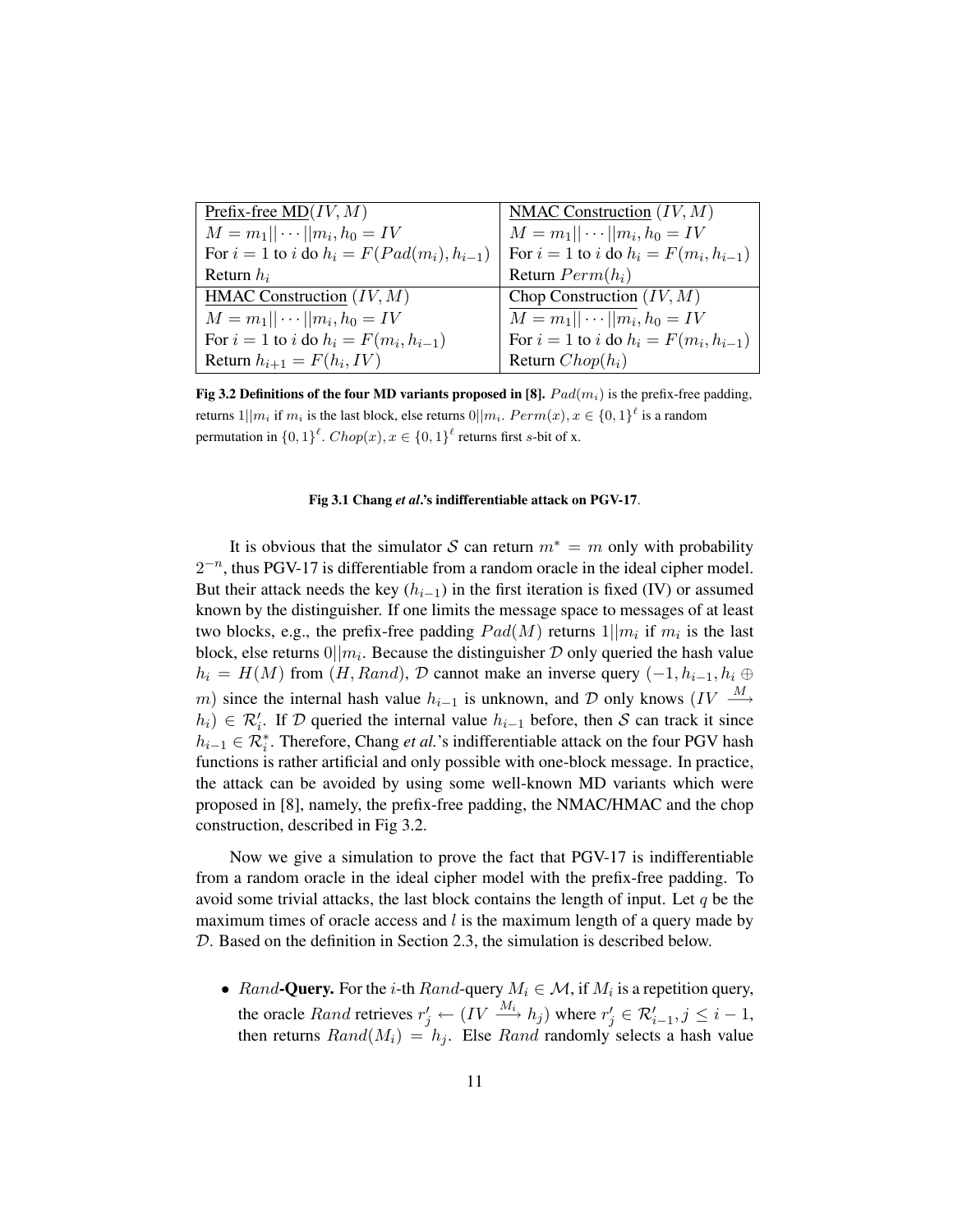| Prefix-free $MD(IV, M)$                          | NMAC Construction $(IV, M)$                 |
|--------------------------------------------------|---------------------------------------------|
| $M = m_1    \cdots    m_i, h_0 = IV$             | $M = m_1    \cdots    m_i, h_0 = IV$        |
| For $i = 1$ to i do $h_i = F(Pad(m_i), h_{i-1})$ | For $i = 1$ to i do $h_i = F(m_i, h_{i-1})$ |
| Return $h_i$                                     | Return $Perm(h_i)$                          |
| HMAC Construction $(IV, M)$                      | Chop Construction $(IV, M)$                 |
| $M = m_1    \cdots    m_i, h_0 = IV$             | $M = m_1    \cdots    m_i, h_0 = IV$        |
| For $i = 1$ to i do $h_i = F(m_i, h_{i-1})$      | For $i = 1$ to i do $h_i = F(m_i, h_{i-1})$ |
| Return $h_{i+1} = F(h_i, IV)$                    | Return $Chop(h_i)$                          |

Fig 3.2 Definitions of the four MD variants proposed in [8].  $Pad(m_i)$  is the prefix-free padding, returns  $1||m_i$  if  $m_i$  is the last block, else returns  $0||m_i$ .  $Perm(x), x \in \{0, 1\}^{\ell}$  is a random permutation in  $\{0,1\}^{\ell}$ .  $Chop(x), x \in \{0,1\}^{\ell}$  returns first s-bit of x.

#### Fig 3.1 Chang *et al*.'s indifferentiable attack on PGV-17.

It is obvious that the simulator S can return  $m^* = m$  only with probability  $2^{-n}$ , thus PGV-17 is differentiable from a random oracle in the ideal cipher model. But their attack needs the key  $(h_{i-1})$  in the first iteration is fixed (IV) or assumed known by the distinguisher. If one limits the message space to messages of at least two blocks, e.g., the prefix-free padding  $Pad(M)$  returns  $1||m_i$  if  $m_i$  is the last block, else returns  $0||m_i$ . Because the distinguisher  $D$  only queried the hash value  $h_i = H(M)$  from  $(H, Rand)$ , D cannot make an inverse query  $(-1, h_{i-1}, h_i \oplus$ m) since the internal hash value  $h_{i-1}$  is unknown, and D only knows (IV  $\stackrel{M}{\longrightarrow}$  $h_i$ ) ∈  $\mathcal{R}'_i$ . If  $\mathcal D$  queried the internal value  $h_{i-1}$  before, then  $\mathcal S$  can track it since  $h_{i-1} \in \mathcal{R}_i^*$ . Therefore, Chang *et al.*'s indifferentiable attack on the four PGV hash functions is rather artificial and only possible with one-block message. In practice, the attack can be avoided by using some well-known MD variants which were proposed in [8], namely, the prefix-free padding, the NMAC/HMAC and the chop construction, described in Fig 3.2.

Now we give a simulation to prove the fact that PGV-17 is indifferentiable from a random oracle in the ideal cipher model with the prefix-free padding. To avoid some trivial attacks, the last block contains the length of input. Let  $q$  be the maximum times of oracle access and  $l$  is the maximum length of a query made by D. Based on the definition in Section 2.3, the simulation is described below.

• Rand-Query. For the *i*-th Rand-query  $M_i \in \mathcal{M}$ , if  $M_i$  is a repetition query, the oracle *Rand* retrieves  $r'_j \leftarrow (IV \xrightarrow{M_i} h_j)$  where  $r'_j \in \mathcal{R}'_{i-1}, j \leq i-1$ , then returns  $Rand(M_i) = h_j$ . Else Rand randomly selects a hash value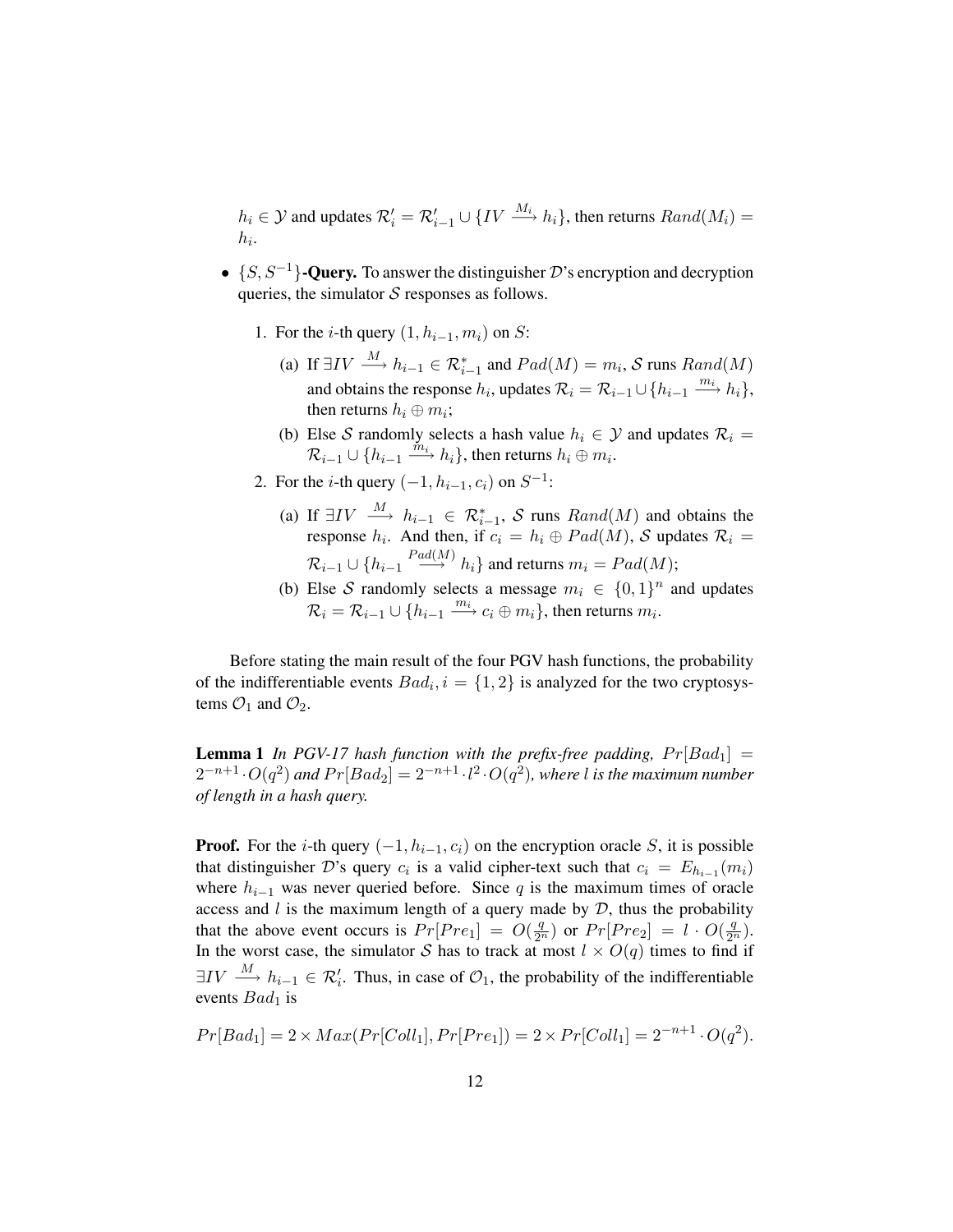$h_i \in \mathcal{Y}$  and updates  $\mathcal{R}'_i = \mathcal{R}'_{i-1} \cup \{IV \stackrel{M_i}{\longrightarrow} h_i\}$ , then returns  $Rand(M_i) =$  $h_i$ .

- $\{S, S^{-1}\}$ -Query. To answer the distinguisher D's encryption and decryption queries, the simulator  $S$  responses as follows.
	- 1. For the *i*-th query  $(1, h_{i-1}, m_i)$  on S:
		- (a) If  $\exists IV \stackrel{M}{\longrightarrow} h_{i-1} \in \mathcal{R}_{i-1}^*$  and  $Pad(M) = m_i$ , S runs  $Rand(M)$ and obtains the response  $h_i$ , updates  $\mathcal{R}_i = \mathcal{R}_{i-1} \cup \{h_{i-1} \xrightarrow{m_i} h_i\}$ , then returns  $h_i \oplus m_i$ ;
		- (b) Else S randomly selects a hash value  $h_i \in \mathcal{Y}$  and updates  $\mathcal{R}_i =$  $\mathcal{R}_{i-1} \cup \{h_{i-1} \stackrel{\tilde{m}_i}{\longrightarrow} h_i\}$ , then returns  $h_i \oplus m_i$ .
	- 2. For the *i*-th query  $(-1, h_{i-1}, c_i)$  on  $S^{-1}$ :
		- (a) If  $\exists IV \stackrel{M}{\longrightarrow} h_{i-1} \in \mathcal{R}_{i-1}^*$ , S runs  $Rand(M)$  and obtains the response  $h_i$ . And then, if  $c_i = h_i \oplus Pad(M)$ , S updates  $\mathcal{R}_i =$  $\mathcal{R}_{i-1} \cup \{h_{i-1} \stackrel{Pad(M)}{\longrightarrow} h_i\}$  and returns  $m_i = Pad(M);$
		- (b) Else S randomly selects a message  $m_i \in \{0,1\}^n$  and updates  $\mathcal{R}_i = \mathcal{R}_{i-1} \cup \{ h_{i-1} \stackrel{m_i}{\longrightarrow} c_i \oplus m_i \},$  then returns  $m_i$ .

Before stating the main result of the four PGV hash functions, the probability of the indifferentiable events  $Bad_i$ ,  $i = \{1, 2\}$  is analyzed for the two cryptosystems  $\mathcal{O}_1$  and  $\mathcal{O}_2$ .

**Lemma 1** In PGV-17 hash function with the prefix-free padding,  $Pr[Bad_1] =$  $2^{-n+1}\cdot O(q^2)$  and  $Pr[Bad_2]= 2^{-n+1}\cdot l^2\cdot O(q^2)$ , where l is the maximum number *of length in a hash query.*

**Proof.** For the *i*-th query  $(-1, h_{i-1}, c_i)$  on the encryption oracle S, it is possible that distinguisher D's query  $c_i$  is a valid cipher-text such that  $c_i = E_{h_{i-1}}(m_i)$ where  $h_{i-1}$  was never queried before. Since q is the maximum times of oracle access and  $l$  is the maximum length of a query made by  $D$ , thus the probability that the above event occurs is  $Pr[Pre_1] = O(\frac{q}{2^n})$  or  $Pr[Pre_2] = l \cdot O(\frac{q}{2^n})$ . In the worst case, the simulator S has to track at most  $l \times O(q)$  times to find if  $\exists IV \stackrel{M}{\longrightarrow} h_{i-1} \in \mathcal{R}'_i$ . Thus, in case of  $\mathcal{O}_1$ , the probability of the indifferentiable events  $Bad<sub>1</sub>$  is

$$
Pr[Bad_1] = 2 \times Max(Pr[Coll_1], Pr[Pre_1]) = 2 \times Pr[Coll_1] = 2^{-n+1} \cdot O(q^2).
$$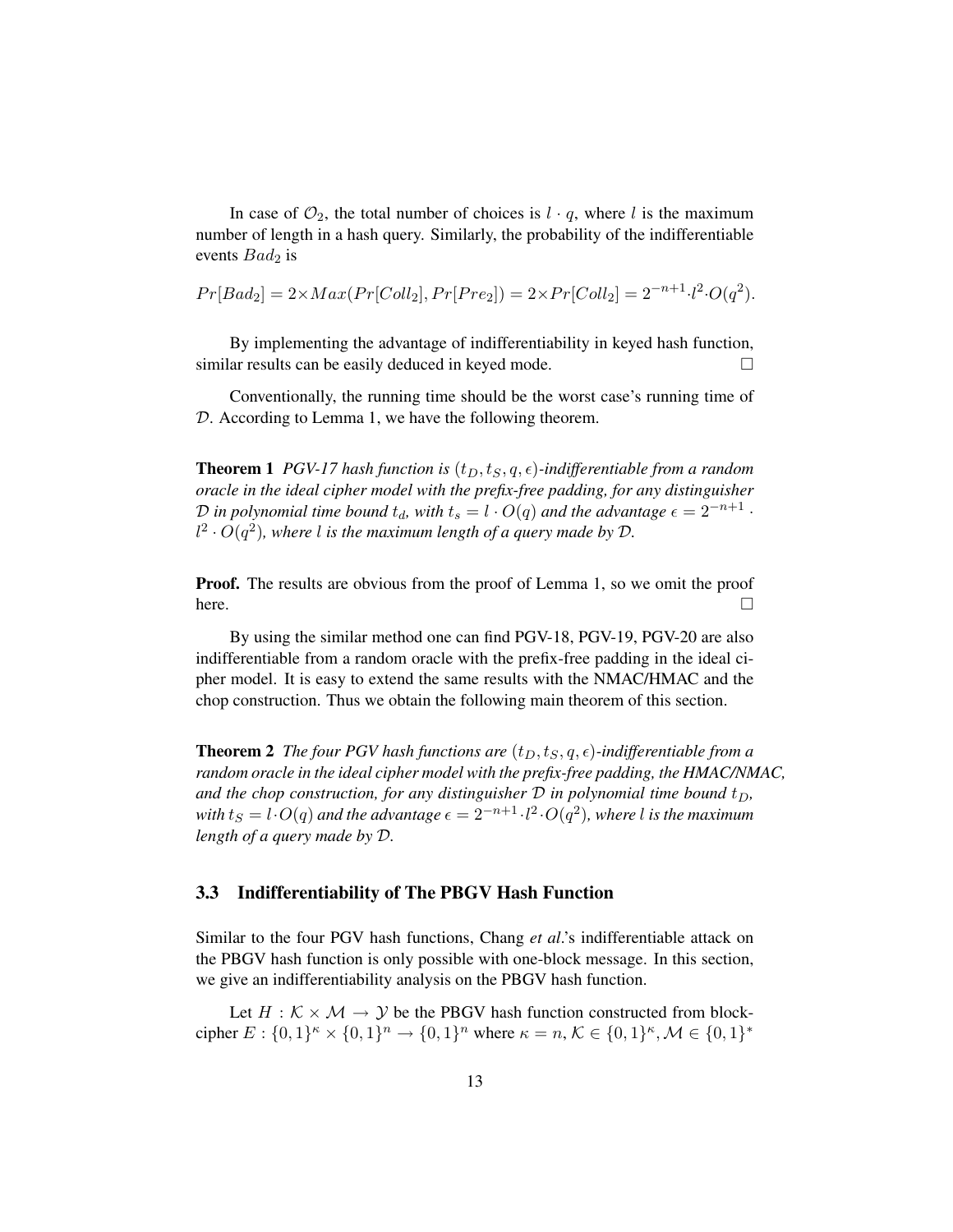In case of  $\mathcal{O}_2$ , the total number of choices is  $l \cdot q$ , where l is the maximum number of length in a hash query. Similarly, the probability of the indifferentiable events  $Bad<sub>2</sub>$  is

$$
Pr[Bad_2] = 2 \times Max(Pr[Coll_2], Pr[Pre_2]) = 2 \times Pr[Coll_2] = 2^{-n+1} \cdot l^2 \cdot O(q^2).
$$

By implementing the advantage of indifferentiability in keyed hash function, similar results can be easily deduced in keyed mode.  $\Box$ 

Conventionally, the running time should be the worst case's running time of D. According to Lemma 1, we have the following theorem.

**Theorem 1** *PGV-17 hash function is*  $(t_D, t_S, q, \epsilon)$ *-indifferentiable from a random oracle in the ideal cipher model with the prefix-free padding, for any distinguisher*  $\mathcal D$  *in polynomial time bound*  $t_d$ , with  $t_s = l \cdot O(q)$  and the advantage  $\epsilon = 2^{-n+1}$  ·  $l^2 \cdot O(q^2)$ , where *l* is the maximum length of a query made by  $\mathcal{D}$ .

Proof. The results are obvious from the proof of Lemma 1, so we omit the proof here.  $\Box$ 

By using the similar method one can find PGV-18, PGV-19, PGV-20 are also indifferentiable from a random oracle with the prefix-free padding in the ideal cipher model. It is easy to extend the same results with the NMAC/HMAC and the chop construction. Thus we obtain the following main theorem of this section.

**Theorem 2** *The four PGV hash functions are*  $(t_D, t_S, q, \epsilon)$ *-indifferentiable from a random oracle in the ideal cipher model with the prefix-free padding, the HMAC/NMAC,* and the chop construction, for any distinguisher  $D$  in polynomial time bound  $t_D$ ,  $with$   $t_S = l \cdot O(q)$  and the advantage  $\epsilon = 2^{-n+1} \cdot l^2 \cdot O(q^2)$ , where l is the maximum *length of a query made by* D*.*

#### 3.3 Indifferentiability of The PBGV Hash Function

Similar to the four PGV hash functions, Chang *et al*.'s indifferentiable attack on the PBGV hash function is only possible with one-block message. In this section, we give an indifferentiability analysis on the PBGV hash function.

Let  $H : \mathcal{K} \times \mathcal{M} \rightarrow \mathcal{V}$  be the PBGV hash function constructed from blockcipher  $E: \{0,1\}^k \times \{0,1\}^n \to \{0,1\}^n$  where  $\kappa = n, \mathcal{K} \in \{0,1\}^k, \mathcal{M} \in \{0,1\}^k$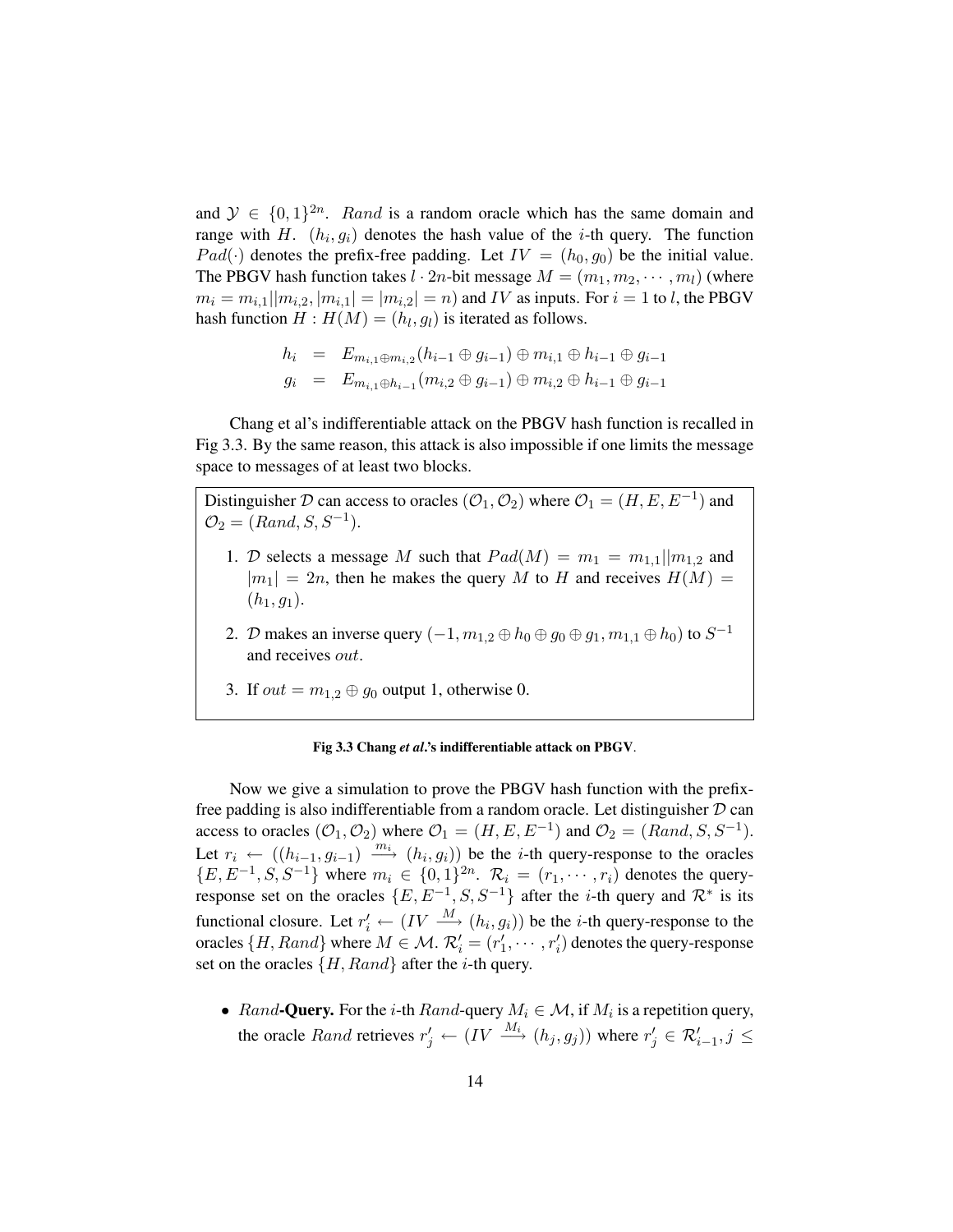and  $\mathcal{Y} \in \{0,1\}^{2n}$ . Rand is a random oracle which has the same domain and range with H.  $(h_i, g_i)$  denotes the hash value of the *i*-th query. The function  $Pad(\cdot)$  denotes the prefix-free padding. Let  $IV = (h_0, g_0)$  be the initial value. The PBGV hash function takes  $l \cdot 2n$ -bit message  $M = (m_1, m_2, \dots, m_l)$  (where  $m_i = m_{i,1} || m_{i,2}, | m_{i,1} | = | m_{i,2} | = n$  and IV as inputs. For  $i = 1$  to l, the PBGV hash function  $H: H(M) = (h_l, g_l)$  is iterated as follows.

$$
h_i = E_{m_{i,1} \oplus m_{i,2}}(h_{i-1} \oplus g_{i-1}) \oplus m_{i,1} \oplus h_{i-1} \oplus g_{i-1}
$$
  

$$
g_i = E_{m_{i,1} \oplus h_{i-1}}(m_{i,2} \oplus g_{i-1}) \oplus m_{i,2} \oplus h_{i-1} \oplus g_{i-1}
$$

Chang et al's indifferentiable attack on the PBGV hash function is recalled in Fig 3.3. By the same reason, this attack is also impossible if one limits the message space to messages of at least two blocks.

Distinguisher D can access to oracles  $(\mathcal{O}_1, \mathcal{O}_2)$  where  $\mathcal{O}_1 = (H, E, E^{-1})$  and  $\mathcal{O}_2 = (Rand, S, S^{-1}).$ 

- 1. D selects a message M such that  $Pad(M) = m_1 = m_{1,1} || m_{1,2}$  and  $|m_1| = 2n$ , then he makes the query M to H and receives  $H(M) =$  $(h_1, g_1).$
- 2. D makes an inverse query  $(-1, m_{1,2} \oplus h_0 \oplus g_0 \oplus g_1, m_{1,1} \oplus h_0)$  to  $S^{-1}$ and receives out.
- 3. If  $out = m_{1,2} \oplus g_0$  output 1, otherwise 0.

#### Fig 3.3 Chang *et al*.'s indifferentiable attack on PBGV.

Now we give a simulation to prove the PBGV hash function with the prefixfree padding is also indifferentiable from a random oracle. Let distinguisher  $D$  can access to oracles  $(O_1, O_2)$  where  $O_1 = (H, E, E^{-1})$  and  $O_2 = (Rand, S, S^{-1})$ . Let  $r_i \leftarrow ((h_{i-1}, g_{i-1}) \xrightarrow{m_i} (h_i, g_i))$  be the *i*-th query-response to the oracles  ${E, E^{-1}, S, S^{-1}}$  where  $m_i \in \{0, 1\}^{2n}$ .  $\mathcal{R}_i = (r_1, \dots, r_i)$  denotes the queryresponse set on the oracles  $\{E, E^{-1}, S, S^{-1}\}$  after the *i*-th query and  $\mathcal{R}^*$  is its functional closure. Let  $r'_i \leftarrow (IV \stackrel{M}{\longrightarrow} (h_i, g_i))$  be the *i*-th query-response to the oracles  $\{H, Rand\}$  where  $M \in \mathcal{M}$ .  $\mathcal{R}'_i = (r'_1, \cdots, r'_i)$  denotes the query-response set on the oracles  $\{H, Rand\}$  after the *i*-th query.

• Rand-Query. For the *i*-th Rand-query  $M_i \in \mathcal{M}$ , if  $M_i$  is a repetition query, the oracle *Rand* retrieves  $r'_j \leftarrow (IV \xrightarrow{M_i} (h_j, g_j))$  where  $r'_j \in \mathcal{R}'_{i-1}, j \leq j$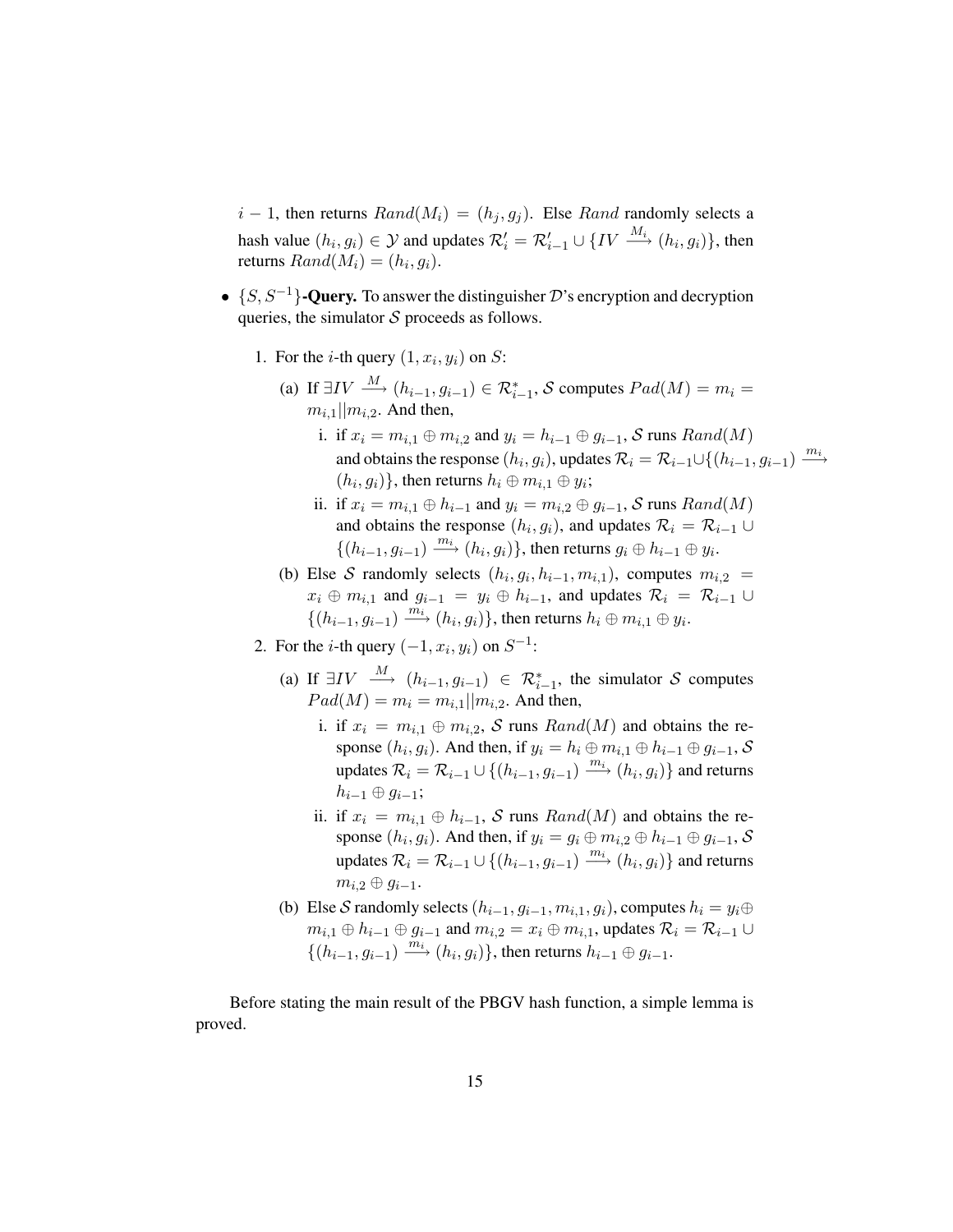$i-1$ , then returns  $Rand(M_i) = (h_i, g_j)$ . Else Rand randomly selects a hash value  $(h_i, g_i) \in \mathcal{Y}$  and updates  $\mathcal{R}'_i = \mathcal{R}'_{i-1} \cup \{IV \stackrel{M_i}{\longrightarrow} (h_i, g_i)\}\,$  then returns  $Rand(M_i) = (h_i, g_i).$ 

- $\{S, S^{-1}\}$ -Query. To answer the distinguisher D's encryption and decryption queries, the simulator  $S$  proceeds as follows.
	- 1. For the *i*-th query  $(1, x_i, y_i)$  on *S*:
		- (a) If  $\exists IV \stackrel{M}{\longrightarrow} (h_{i-1}, g_{i-1}) \in \mathcal{R}_{i-1}^*$ , S computes  $Pad(M) = m_i =$  $m_{i,1}$ || $m_{i,2}$ . And then,
			- i. if  $x_i = m_{i,1} \oplus m_{i,2}$  and  $y_i = h_{i-1} \oplus g_{i-1}$ , S runs  $Rand(M)$ and obtains the response  $(h_i, g_i)$ , updates  $\mathcal{R}_i = \mathcal{R}_{i-1} \cup \{(h_{i-1}, g_{i-1}) \xrightarrow{m_i}$  $(h_i, g_i)$ }, then returns  $h_i \oplus m_{i,1} \oplus y_i$ ;
			- ii. if  $x_i = m_{i,1} \oplus h_{i-1}$  and  $y_i = m_{i,2} \oplus g_{i-1}$ , S runs  $Rand(M)$ and obtains the response  $(h_i, g_i)$ , and updates  $\mathcal{R}_i = \mathcal{R}_{i-1} \cup$  $\{(h_{i-1}, g_{i-1}) \stackrel{m_i}{\longrightarrow} (h_i, g_i)\}\,$  then returns  $g_i \oplus h_{i-1} \oplus y_i$ .
		- (b) Else S randomly selects  $(h_i, g_i, h_{i-1}, m_{i,1})$ , computes  $m_{i,2}$  =  $x_i \oplus m_{i,1}$  and  $g_{i-1} = y_i \oplus h_{i-1}$ , and updates  $\mathcal{R}_i = \mathcal{R}_{i-1} \cup$  $\{(h_{i-1}, g_{i-1}) \stackrel{\overline{m_i}}{\longrightarrow} (h_i, g_i)\}\,$  then returns  $h_i \oplus m_{i,1} \oplus y_i$ .
	- 2. For the *i*-th query  $(-1, x_i, y_i)$  on  $S^{-1}$ :
		- (a) If  $\exists IV \stackrel{M}{\longrightarrow} (h_{i-1}, g_{i-1}) \in \mathcal{R}_{i-1}^*$ , the simulator S computes  $Pad(M) = m_i = m_{i,1} || m_{i,2}$ . And then,
			- i. if  $x_i = m_{i,1} \oplus m_{i,2}$ , S runs  $Rand(M)$  and obtains the response  $(h_i, g_i)$ . And then, if  $y_i = h_i \oplus m_{i,1} \oplus h_{i-1} \oplus g_{i-1}$ , S updates  $\mathcal{R}_i = \mathcal{R}_{i-1} \cup \{(h_{i-1}, g_{i-1}) \xrightarrow{m_i} (h_i, g_i)\}$  and returns  $h_{i-1} \oplus q_{i-1}$ ;
			- ii. if  $x_i = m_{i,1} \oplus h_{i-1}$ , S runs  $Rand(M)$  and obtains the response  $(h_i, g_i)$ . And then, if  $y_i = g_i \oplus m_{i,2} \oplus h_{i-1} \oplus g_{i-1}$ , S updates  $\mathcal{R}_i = \mathcal{R}_{i-1} \cup \{(h_{i-1}, g_{i-1}) \stackrel{m_i}{\longrightarrow} (h_i, g_i)\}$  and returns  $m_{i,2} \oplus q_{i-1}$ .
		- (b) Else S randomly selects  $(h_{i-1}, g_{i-1}, m_{i,1}, g_i)$ , computes  $h_i = y_i \oplus$  $m_{i,1} \oplus h_{i-1} \oplus g_{i-1}$  and  $m_{i,2} = x_i \oplus m_{i,1}$ , updates  $\mathcal{R}_i = \mathcal{R}_{i-1} \cup$  $\{(h_{i-1}, g_{i-1}) \stackrel{\overline{m}_i}{\longrightarrow} (h_i, g_i)\}\)$ , then returns  $h_{i-1} \oplus g_{i-1}$ .

Before stating the main result of the PBGV hash function, a simple lemma is proved.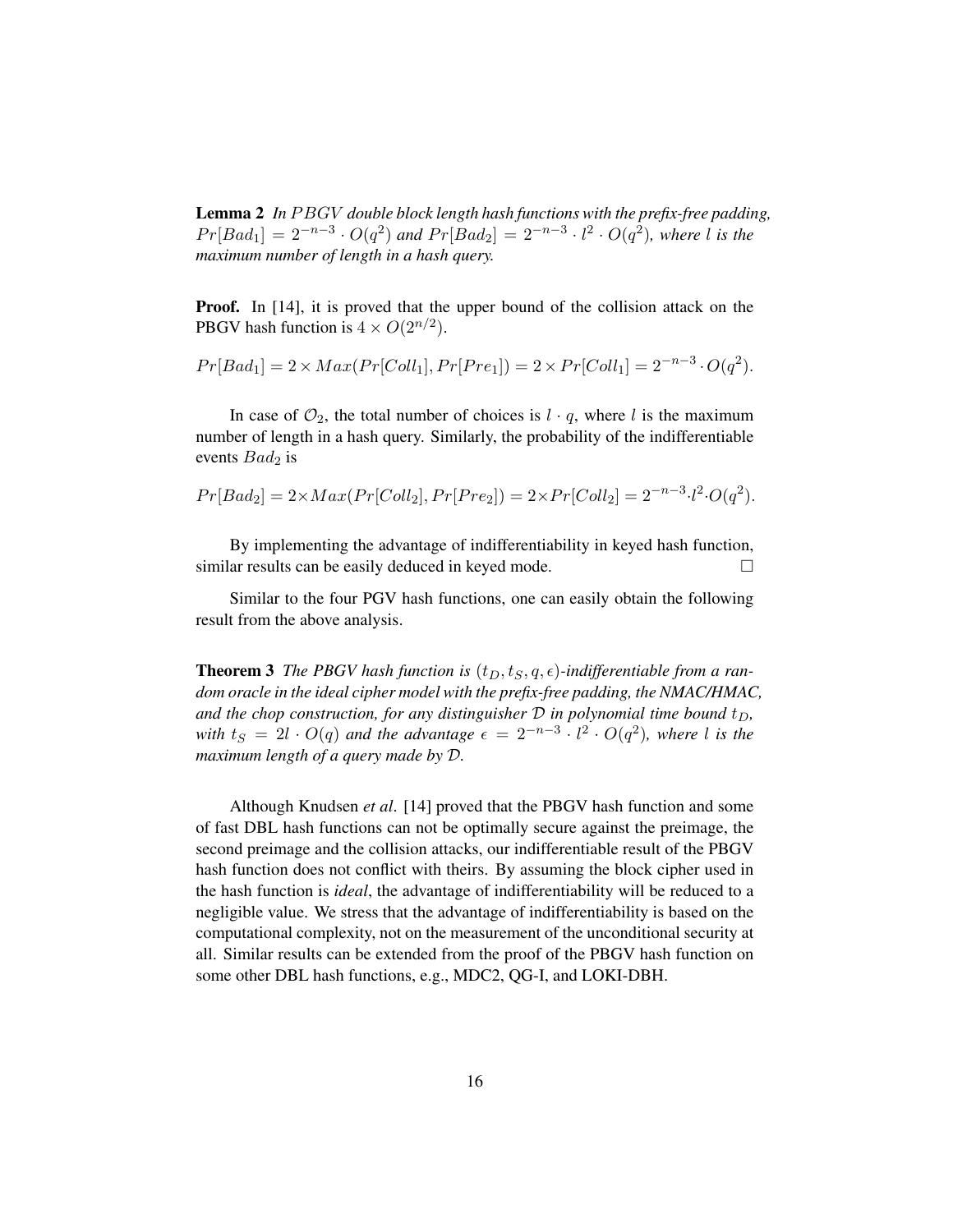Lemma 2 *In PBGV double block length hash functions with the prefix-free padding*,  $Pr[Bad_1] = 2^{-n-3} \cdot O(q^2)$  and  $Pr[Bad_2] = 2^{-n-3} \cdot l^2 \cdot O(q^2)$ , where *l* is the *maximum number of length in a hash query.*

Proof. In [14], it is proved that the upper bound of the collision attack on the PBGV hash function is  $4 \times O(2^{n/2})$ .

$$
Pr[Bad_1] = 2 \times Max(Pr[Coll_1], Pr[Pre_1]) = 2 \times Pr[Coll_1] = 2^{-n-3} \cdot O(q^2).
$$

In case of  $\mathcal{O}_2$ , the total number of choices is  $l \cdot q$ , where l is the maximum number of length in a hash query. Similarly, the probability of the indifferentiable events  $Bad<sub>2</sub>$  is

$$
Pr[Bad_2] = 2 \times Max(Pr[Coll_2], Pr[Pre_2]) = 2 \times Pr[Coll_2] = 2^{-n-3} \cdot l^2 \cdot O(q^2).
$$

By implementing the advantage of indifferentiability in keyed hash function, similar results can be easily deduced in keyed mode.  $\Box$ 

Similar to the four PGV hash functions, one can easily obtain the following result from the above analysis.

**Theorem 3** *The PBGV hash function is*  $(t_D, t_S, q, \epsilon)$ *-indifferentiable from a random oracle in the ideal cipher model with the prefix-free padding, the NMAC/HMAC, and the chop construction, for any distinguisher*  $D$  *in polynomial time bound*  $t_D$ , *with*  $t_S = 2l \cdot O(q)$  *and the advantage*  $\epsilon = 2^{-n-3} \cdot l^2 \cdot O(q^2)$ *, where* l *is the maximum length of a query made by* D*.*

Although Knudsen *et al*. [14] proved that the PBGV hash function and some of fast DBL hash functions can not be optimally secure against the preimage, the second preimage and the collision attacks, our indifferentiable result of the PBGV hash function does not conflict with theirs. By assuming the block cipher used in the hash function is *ideal*, the advantage of indifferentiability will be reduced to a negligible value. We stress that the advantage of indifferentiability is based on the computational complexity, not on the measurement of the unconditional security at all. Similar results can be extended from the proof of the PBGV hash function on some other DBL hash functions, e.g., MDC2, QG-I, and LOKI-DBH.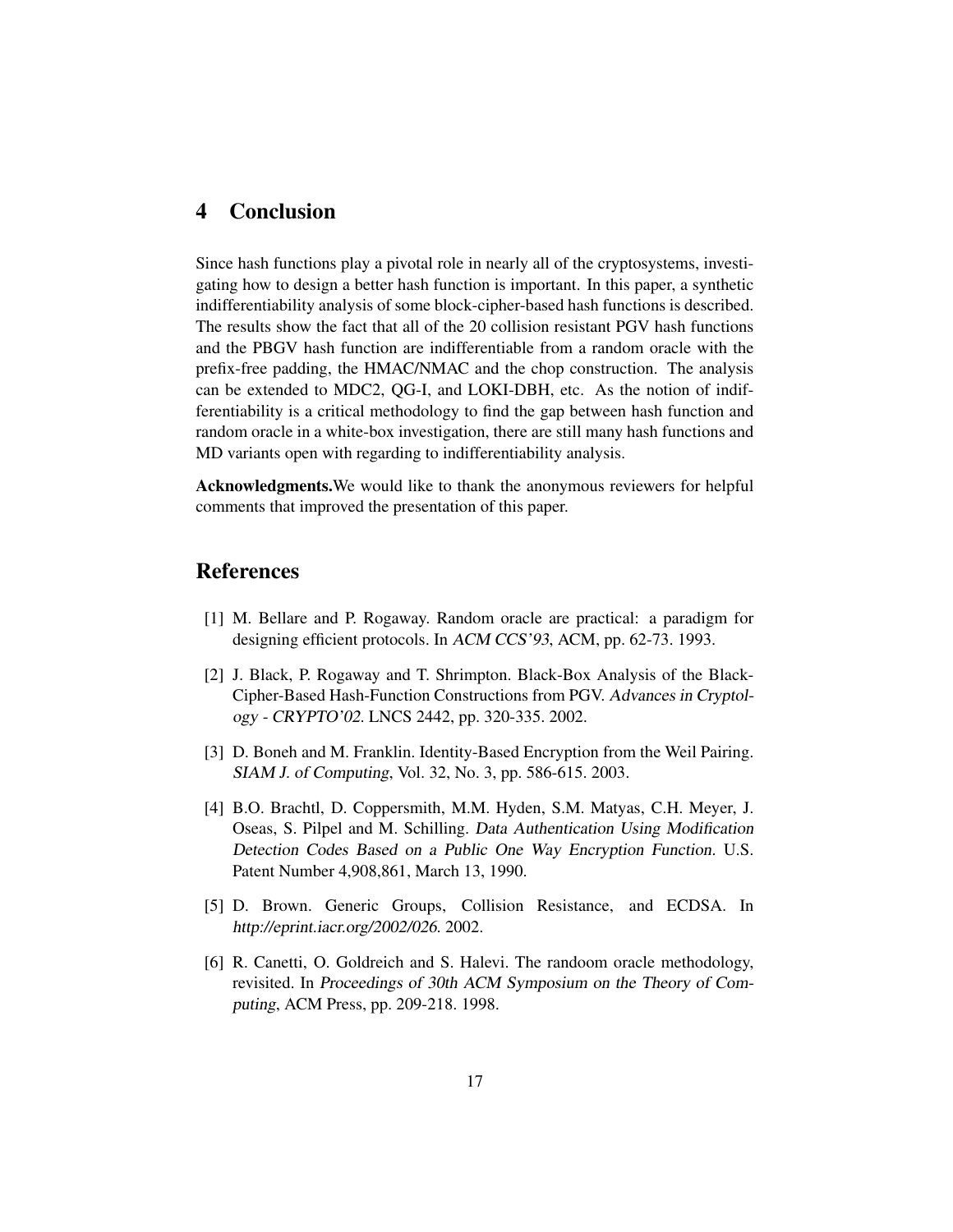## 4 Conclusion

Since hash functions play a pivotal role in nearly all of the cryptosystems, investigating how to design a better hash function is important. In this paper, a synthetic indifferentiability analysis of some block-cipher-based hash functions is described. The results show the fact that all of the 20 collision resistant PGV hash functions and the PBGV hash function are indifferentiable from a random oracle with the prefix-free padding, the HMAC/NMAC and the chop construction. The analysis can be extended to MDC2, QG-I, and LOKI-DBH, etc. As the notion of indifferentiability is a critical methodology to find the gap between hash function and random oracle in a white-box investigation, there are still many hash functions and MD variants open with regarding to indifferentiability analysis.

Acknowledgments.We would like to thank the anonymous reviewers for helpful comments that improved the presentation of this paper.

## References

- [1] M. Bellare and P. Rogaway. Random oracle are practical: a paradigm for designing efficient protocols. In ACM CCS'93, ACM, pp. 62-73. 1993.
- [2] J. Black, P. Rogaway and T. Shrimpton. Black-Box Analysis of the Black-Cipher-Based Hash-Function Constructions from PGV. Advances in Cryptology - CRYPTO'02. LNCS 2442, pp. 320-335. 2002.
- [3] D. Boneh and M. Franklin. Identity-Based Encryption from the Weil Pairing. SIAM J. of Computing, Vol. 32, No. 3, pp. 586-615. 2003.
- [4] B.O. Brachtl, D. Coppersmith, M.M. Hyden, S.M. Matyas, C.H. Meyer, J. Oseas, S. Pilpel and M. Schilling. Data Authentication Using Modification Detection Codes Based on <sup>a</sup> Public One Way Encryption Function. U.S. Patent Number 4,908,861, March 13, 1990.
- [5] D. Brown. Generic Groups, Collision Resistance, and ECDSA. In http://eprint.iacr.org/2002/026. 2002.
- [6] R. Canetti, O. Goldreich and S. Halevi. The randoom oracle methodology, revisited. In Proceedings of 30th ACM Symposium on the Theory of Computing, ACM Press, pp. 209-218. 1998.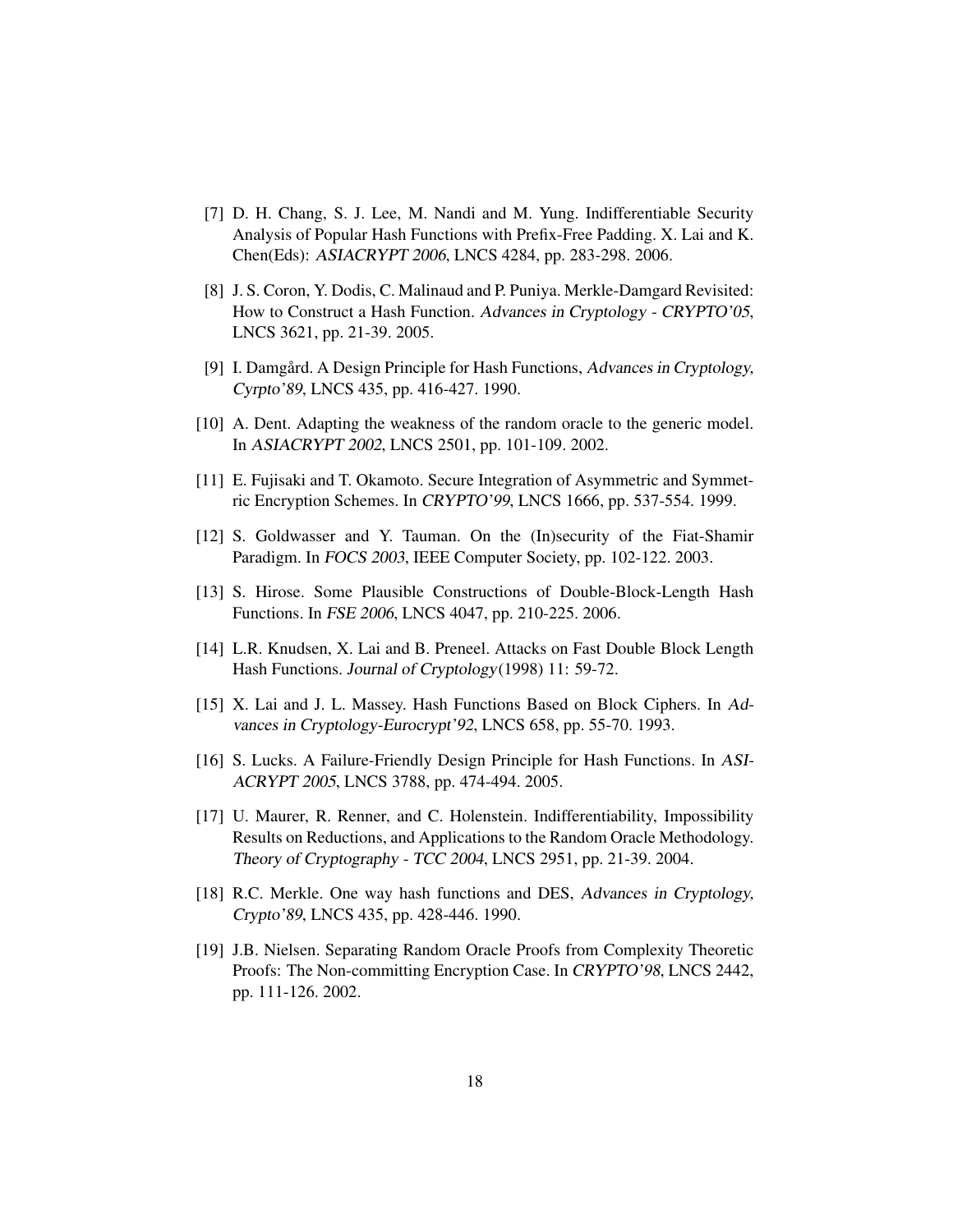- [7] D. H. Chang, S. J. Lee, M. Nandi and M. Yung. Indifferentiable Security Analysis of Popular Hash Functions with Prefix-Free Padding. X. Lai and K. Chen(Eds): ASIACRYPT <sup>2006</sup>, LNCS 4284, pp. 283-298. 2006.
- [8] J. S. Coron, Y. Dodis, C. Malinaud and P. Puniya. Merkle-Damgard Revisited: How to Construct a Hash Function. Advances in Cryptology - CRYPTO'05, LNCS 3621, pp. 21-39. 2005.
- [9] I. Damgård. A Design Principle for Hash Functions, Advances in Cryptology, Cyrpto'89, LNCS 435, pp. 416-427. 1990.
- [10] A. Dent. Adapting the weakness of the random oracle to the generic model. In ASIACRYPT <sup>2002</sup>, LNCS 2501, pp. 101-109. 2002.
- [11] E. Fujisaki and T. Okamoto. Secure Integration of Asymmetric and Symmetric Encryption Schemes. In CRYPTO'99, LNCS 1666, pp. 537-554. 1999.
- [12] S. Goldwasser and Y. Tauman. On the (In)security of the Fiat-Shamir Paradigm. In FOCS <sup>2003</sup>, IEEE Computer Society, pp. 102-122. 2003.
- [13] S. Hirose. Some Plausible Constructions of Double-Block-Length Hash Functions. In FSE <sup>2006</sup>, LNCS 4047, pp. 210-225. 2006.
- [14] L.R. Knudsen, X. Lai and B. Preneel. Attacks on Fast Double Block Length Hash Functions. Journal of Cryptology(1998) 11: 59-72.
- [15] X. Lai and J. L. Massey. Hash Functions Based on Block Ciphers. In Advances in Cryptology-Eurocrypt'92, LNCS 658, pp. 55-70. 1993.
- [16] S. Lucks. A Failure-Friendly Design Principle for Hash Functions. In ASI-ACRYPT 2005, LNCS 3788, pp. 474-494. 2005.
- [17] U. Maurer, R. Renner, and C. Holenstein. Indifferentiability, Impossibility Results on Reductions, and Applications to the Random Oracle Methodology. Theory of Cryptography - TCC <sup>2004</sup>, LNCS 2951, pp. 21-39. 2004.
- [18] R.C. Merkle. One way hash functions and DES, Advances in Cryptology, Crypto'89, LNCS 435, pp. 428-446. 1990.
- [19] J.B. Nielsen. Separating Random Oracle Proofs from Complexity Theoretic Proofs: The Non-committing Encryption Case. In CRYPTO'98, LNCS 2442, pp. 111-126. 2002.